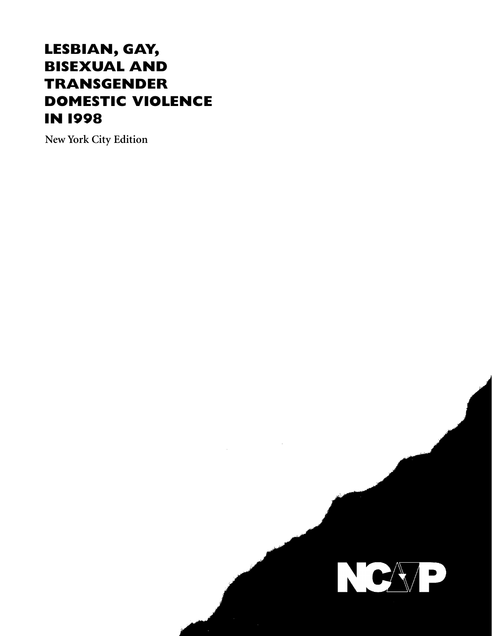# **LESBIAN, GAY, BISEXUAL AND TRANSGENDER DOMESTIC VIOLENCE IN1998**

**New York City Edition**

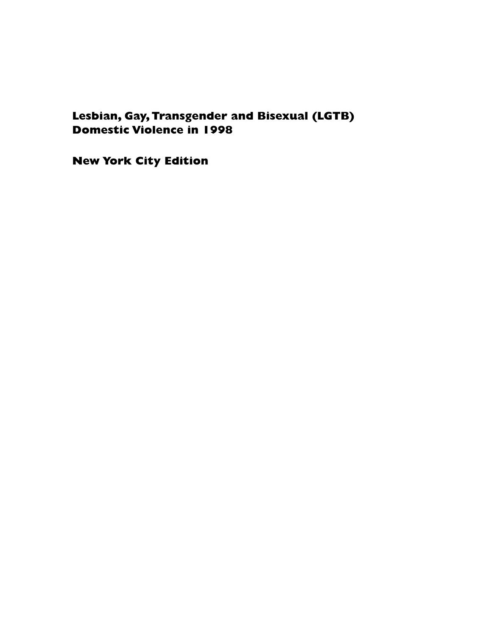# **Lesbian, Gay, Transgender and Bisexual (LGTB) Domestic Violence in 1998**

**New York City Edition**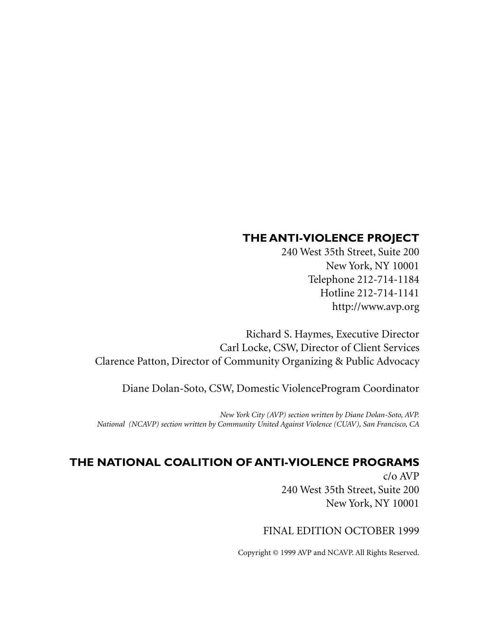# **THE ANTI-VIOLENCE PROJECT**

240 West 35th Street, Suite 200 New York, NY 10001 Telephone 212-714-1184 Hotline 212-714-1141 http://www.avp.org

Richard S. Haymes, Executive Director Carl Locke, CSW, Director of Client Services Clarence Patton, Director of Community Organizing & Public Advocacy

Diane Dolan-Soto, CSW, Domestic ViolenceProgram Coordinator

*New York City (AVP) section written by Diane Dolan-Soto, AVP. National (NCAVP) section written by Community United Against Violence (CUAV), San Francisco, CA*

# **THE NATIONAL COALITION OF ANTI-VIOLENCE PROGRAMS**

c/o AVP 240 West 35th Street, Suite 200 New York, NY 10001

# FINAL EDITION OCTOBER 1999

Copyright © 1999 AVP and NCAVP. All Rights Reserved.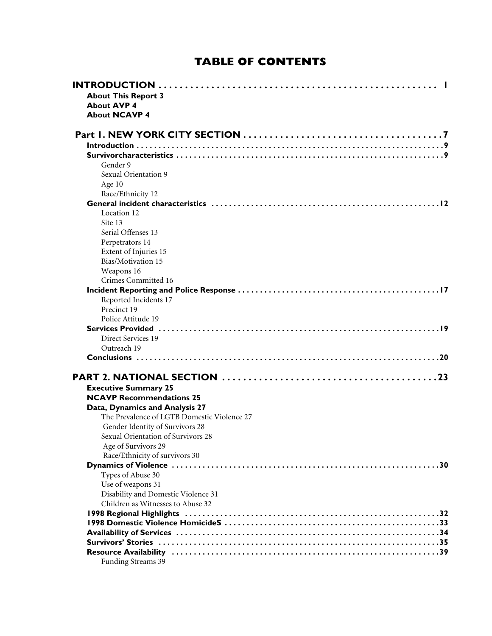# **TABLE OF CONTENTS**

| <b>About This Report 3</b><br><b>About AVP 4</b><br><b>About NCAVP 4</b> |  |
|--------------------------------------------------------------------------|--|
|                                                                          |  |
|                                                                          |  |
|                                                                          |  |
| Gender 9                                                                 |  |
| Sexual Orientation 9                                                     |  |
| Age 10                                                                   |  |
| Race/Ethnicity 12                                                        |  |
|                                                                          |  |
| Location 12                                                              |  |
| Site 13                                                                  |  |
| Serial Offenses 13                                                       |  |
| Perpetrators 14                                                          |  |
| Extent of Injuries 15                                                    |  |
| Bias/Motivation 15                                                       |  |
| Weapons 16                                                               |  |
| Crimes Committed 16                                                      |  |
|                                                                          |  |
| Reported Incidents 17                                                    |  |
| Precinct 19                                                              |  |
| Police Attitude 19                                                       |  |
|                                                                          |  |
| Direct Services 19<br>Outreach 19                                        |  |
|                                                                          |  |
|                                                                          |  |
|                                                                          |  |
| <b>Executive Summary 25</b>                                              |  |
| <b>NCAVP Recommendations 25</b>                                          |  |
| Data, Dynamics and Analysis 27                                           |  |
| The Prevalence of LGTB Domestic Violence 27                              |  |
| Gender Identity of Survivors 28                                          |  |
| Sexual Orientation of Survivors 28                                       |  |
| Age of Survivors 29                                                      |  |
| Race/Ethnicity of survivors 30                                           |  |
|                                                                          |  |
| Types of Abuse 30                                                        |  |
| Use of weapons 31                                                        |  |
| Disability and Domestic Violence 31                                      |  |
| Children as Witnesses to Abuse 32                                        |  |
|                                                                          |  |
|                                                                          |  |
|                                                                          |  |
|                                                                          |  |
| Funding Streams 39                                                       |  |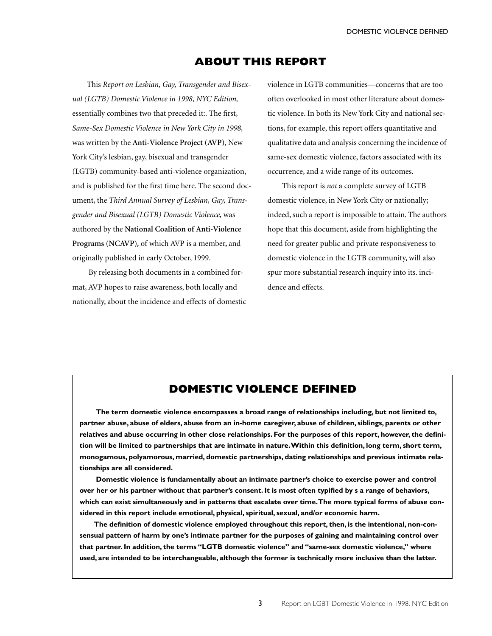# **ABOUT THIS REPORT**

This *Report on Lesbian, Gay, Transgender and Bisexual (LGTB) Domestic Violence in 1998, NYC Edition,* essentially combines two that preceded it:. The first, *Same-Sex Domestic Violence in New York City in 1998,*  was written by the **Anti-Violence Project (AVP)**, New York City's lesbian, gay, bisexual and transgender (LGTB) community-based anti-violence organization, and is published for the first time here. The second document, the *Third Annual Survey of Lesbian, Gay, Transgender and Bisexual (LGTB) Domestic Violence,* was authored by the **National Coalition of Anti-Violence Programs (NCAVP)***,* of which AVP is a member**,** and originally published in early October, 1999.

 By releasing both documents in a combined format, AVP hopes to raise awareness, both locally and nationally, about the incidence and effects of domestic violence in LGTB communities—concerns that are too often overlooked in most other literature about domestic violence. In both its New York City and national sections, for example, this report offers quantitative and qualitative data and analysis concerning the incidence of same-sex domestic violence, factors associated with its occurrence, and a wide range of its outcomes.

This report is *not* a complete survey of LGTB domestic violence, in New York City or nationally; indeed, such a report is impossible to attain. The authors hope that this document, aside from highlighting the need for greater public and private responsiveness to domestic violence in the LGTB community, will also spur more substantial research inquiry into its. incidence and effects.

# **DOMESTIC VIOLENCE DEFINED**

 **The term domestic violence encompasses a broad range of relationships including, but not limited to, partner abuse, abuse of elders, abuse from an in-home caregiver, abuse of children, siblings, parents or other relatives and abuse occurring in other close relationships. For the purposes of this report, however, the definition will be limited to partnerships that are intimate in nature. Within this definition, long term, short term, monogamous, polyamorous, married, domestic partnerships, dating relationships and previous intimate relationships are all considered.**

 **Domestic violence is fundamentally about an intimate partner's choice to exercise power and control over her or his partner without that partner's consent. It is most often typified by s a range of behaviors, which can exist simultaneously and in patterns that escalate over time. The more typical forms of abuse considered in this report include emotional, physical, spiritual, sexual, and/or economic harm.** 

**The definition of domestic violence employed throughout this report, then, is the intentional, non-consensual pattern of harm by one's intimate partner for the purposes of gaining and maintaining control over that partner. In addition, the terms "LGTB domestic violence" and "same-sex domestic violence," where used, are intended to be interchangeable, although the former is technically more inclusive than the latter.**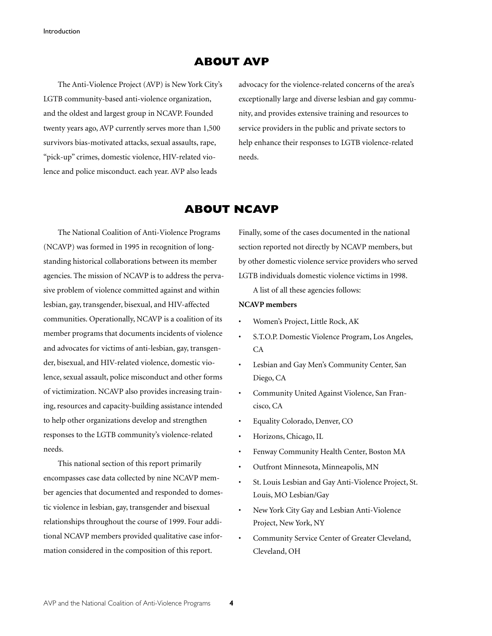# **ABOUT AVP**

The Anti-Violence Project (AVP) is New York City's LGTB community-based anti-violence organization, and the oldest and largest group in NCAVP. Founded twenty years ago, AVP currently serves more than 1,500 survivors bias-motivated attacks, sexual assaults, rape, "pick-up" crimes, domestic violence, HIV-related violence and police misconduct. each year. AVP also leads

advocacy for the violence-related concerns of the area's exceptionally large and diverse lesbian and gay community, and provides extensive training and resources to service providers in the public and private sectors to help enhance their responses to LGTB violence-related needs.

# **ABOUT NCAVP**

The National Coalition of Anti-Violence Programs (NCAVP) was formed in 1995 in recognition of longstanding historical collaborations between its member agencies. The mission of NCAVP is to address the pervasive problem of violence committed against and within lesbian, gay, transgender, bisexual, and HIV-affected communities. Operationally, NCAVP is a coalition of its member programs that documents incidents of violence and advocates for victims of anti-lesbian, gay, transgender, bisexual, and HIV-related violence, domestic violence, sexual assault, police misconduct and other forms of victimization. NCAVP also provides increasing training, resources and capacity-building assistance intended to help other organizations develop and strengthen responses to the LGTB community's violence-related needs.

This national section of this report primarily encompasses case data collected by nine NCAVP member agencies that documented and responded to domestic violence in lesbian, gay, transgender and bisexual relationships throughout the course of 1999. Four additional NCAVP members provided qualitative case information considered in the composition of this report.

Finally, some of the cases documented in the national section reported not directly by NCAVP members, but by other domestic violence service providers who served LGTB individuals domestic violence victims in 1998.

A list of all these agencies follows:

## **NCAVP members**

- Women's Project, Little Rock, AK
- S.T.O.P. Domestic Violence Program, Los Angeles, CA
- Lesbian and Gay Men's Community Center, San Diego, CA
- Community United Against Violence, San Francisco, CA
- Equality Colorado, Denver, CO
- Horizons, Chicago, IL
- Fenway Community Health Center, Boston MA
- Outfront Minnesota, Minneapolis, MN
- St. Louis Lesbian and Gay Anti-Violence Project, St. Louis, MO Lesbian/Gay
- New York City Gay and Lesbian Anti-Violence Project, New York, NY
- Community Service Center of Greater Cleveland, Cleveland, OH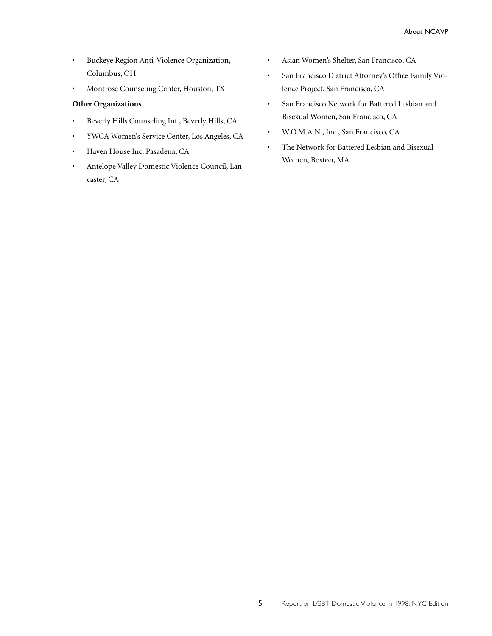- Buckeye Region Anti-Violence Organization, Columbus, OH
- Montrose Counseling Center, Houston, TX

### **Other Organizations**

- Beverly Hills Counseling Int., Beverly Hills, CA
- YWCA Women's Service Center, Los Angeles, CA
- Haven House Inc. Pasadena, CA
- Antelope Valley Domestic Violence Council, Lancaster, CA
- Asian Women's Shelter, San Francisco, CA
- San Francisco District Attorney's Office Family Violence Project, San Francisco, CA
- San Francisco Network for Battered Lesbian and Bisexual Women, San Francisco, CA
- W.O.M.A.N., Inc., San Francisco, CA
- The Network for Battered Lesbian and Bisexual Women, Boston, MA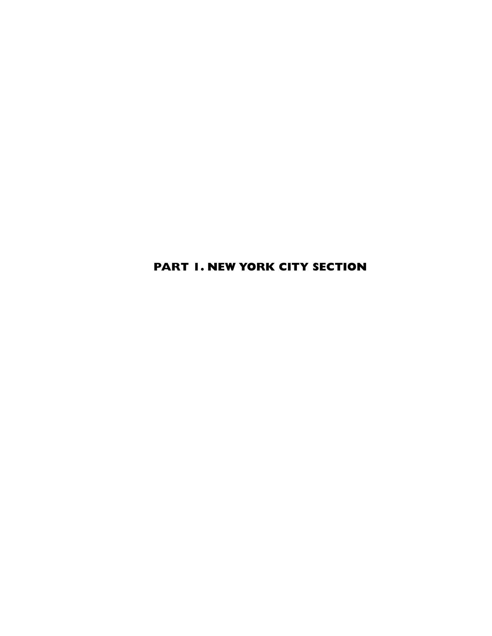**PART 1. NEW YORK CITY SECTION**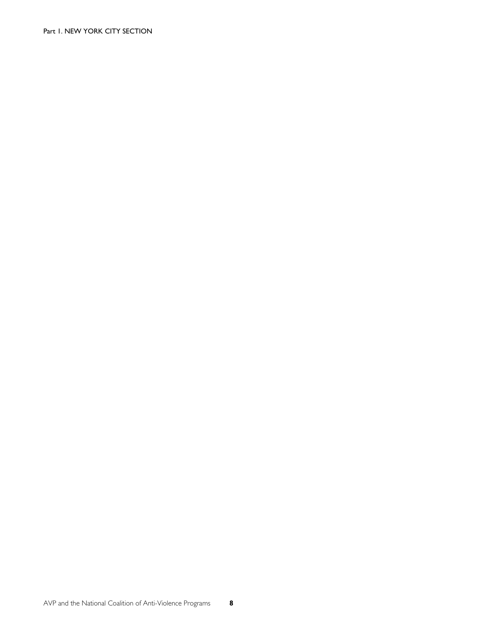Part 1. NEW YORK CITY SECTION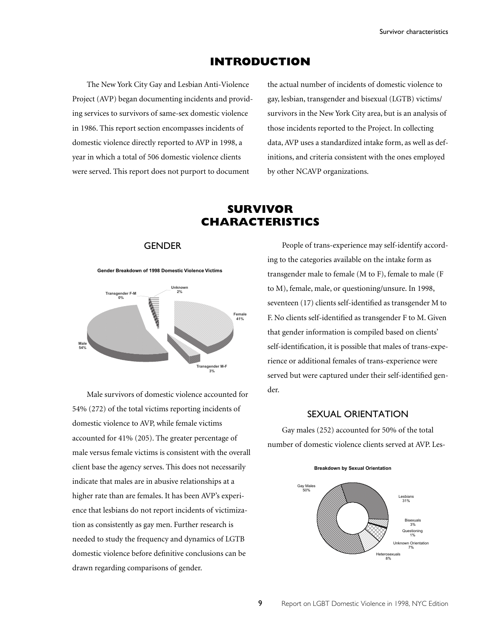# **INTRODUCTION**

The New York City Gay and Lesbian Anti-Violence Project (AVP) began documenting incidents and providing services to survivors of same-sex domestic violence in 1986. This report section encompasses incidents of domestic violence directly reported to AVP in 1998, a year in which a total of 506 domestic violence clients were served. This report does not purport to document

the actual number of incidents of domestic violence to gay, lesbian, transgender and bisexual (LGTB) victims/ survivors in the New York City area, but is an analysis of those incidents reported to the Project. In collecting data, AVP uses a standardized intake form, as well as definitions, and criteria consistent with the ones employed by other NCAVP organizations.

# **SURVIVOR CHARACTERISTICS**

#### **GENDER**

**Gender Breakdown of 1998 Domestic Violence Victims**



Male survivors of domestic violence accounted for 54% (272) of the total victims reporting incidents of domestic violence to AVP, while female victims accounted for 41% (205). The greater percentage of male versus female victims is consistent with the overall client base the agency serves. This does not necessarily indicate that males are in abusive relationships at a higher rate than are females. It has been AVP's experience that lesbians do not report incidents of victimization as consistently as gay men. Further research is needed to study the frequency and dynamics of LGTB domestic violence before definitive conclusions can be drawn regarding comparisons of gender.

People of trans-experience may self-identify according to the categories available on the intake form as transgender male to female (M to F), female to male (F to M), female, male, or questioning/unsure. In 1998, seventeen (17) clients self-identified as transgender M to F. No clients self-identified as transgender F to M. Given that gender information is compiled based on clients' self-identification, it is possible that males of trans-experience or additional females of trans-experience were served but were captured under their self-identified gender.

## SEXUAL ORIENTATION

Gay males (252) accounted for 50% of the total number of domestic violence clients served at AVP. Les-



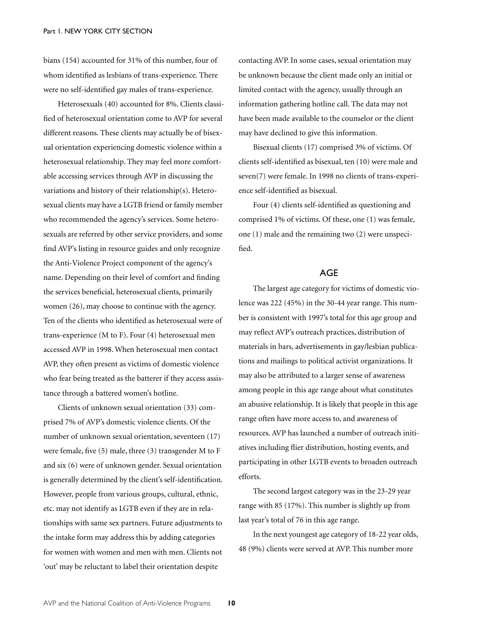bians (154) accounted for 31% of this number, four of whom identified as lesbians of trans-experience. There were no self-identified gay males of trans-experience.

Heterosexuals (40) accounted for 8%. Clients classified of heterosexual orientation come to AVP for several different reasons. These clients may actually be of bisexual orientation experiencing domestic violence within a heterosexual relationship. They may feel more comfortable accessing services through AVP in discussing the variations and history of their relationship(s). Heterosexual clients may have a LGTB friend or family member who recommended the agency's services. Some heterosexuals are referred by other service providers, and some find AVP's listing in resource guides and only recognize the Anti-Violence Project component of the agency's name. Depending on their level of comfort and finding the services beneficial, heterosexual clients, primarily women (26), may choose to continue with the agency. Ten of the clients who identified as heterosexual were of trans-experience (M to F). Four (4) heterosexual men accessed AVP in 1998. When heterosexual men contact AVP, they often present as victims of domestic violence who fear being treated as the batterer if they access assistance through a battered women's hotline.

Clients of unknown sexual orientation (33) comprised 7% of AVP's domestic violence clients. Of the number of unknown sexual orientation, seventeen (17) were female, five (5) male, three (3) transgender M to F and six (6) were of unknown gender. Sexual orientation is generally determined by the client's self-identification. However, people from various groups, cultural, ethnic, etc. may not identify as LGTB even if they are in relationships with same sex partners. Future adjustments to the intake form may address this by adding categories for women with women and men with men. Clients not 'out' may be reluctant to label their orientation despite

contacting AVP. In some cases, sexual orientation may be unknown because the client made only an initial or limited contact with the agency, usually through an information gathering hotline call. The data may not have been made available to the counselor or the client may have declined to give this information.

Bisexual clients (17) comprised 3% of victims. Of clients self-identified as bisexual, ten (10) were male and seven(7) were female. In 1998 no clients of trans-experience self-identified as bisexual.

Four (4) clients self-identified as questioning and comprised 1% of victims. Of these, one (1) was female, one (1) male and the remaining two (2) were unspecified.

### AGE

The largest age category for victims of domestic violence was 222 (45%) in the 30-44 year range. This number is consistent with 1997's total for this age group and may reflect AVP's outreach practices, distribution of materials in bars, advertisements in gay/lesbian publications and mailings to political activist organizations. It may also be attributed to a larger sense of awareness among people in this age range about what constitutes an abusive relationship. It is likely that people in this age range often have more access to, and awareness of resources. AVP has launched a number of outreach initiatives including flier distribution, hosting events, and participating in other LGTB events to broaden outreach efforts.

The second largest category was in the 23-29 year range with 85 (17%). This number is slightly up from last year's total of 76 in this age range.

In the next youngest age category of 18-22 year olds, 48 (9%) clients were served at AVP. This number more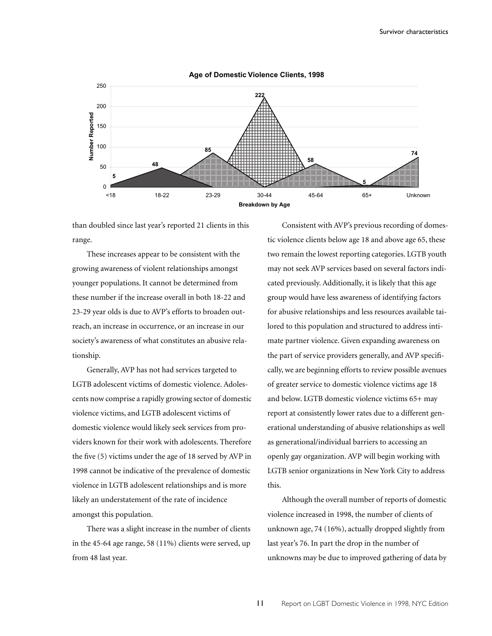

**Age of Domestic Violence Clients, 1998**

than doubled since last year's reported 21 clients in this range.

These increases appear to be consistent with the growing awareness of violent relationships amongst younger populations. It cannot be determined from these number if the increase overall in both 18-22 and 23-29 year olds is due to AVP's efforts to broaden outreach, an increase in occurrence, or an increase in our society's awareness of what constitutes an abusive relationship.

Generally, AVP has not had services targeted to LGTB adolescent victims of domestic violence. Adolescents now comprise a rapidly growing sector of domestic violence victims, and LGTB adolescent victims of domestic violence would likely seek services from providers known for their work with adolescents. Therefore the five (5) victims under the age of 18 served by AVP in 1998 cannot be indicative of the prevalence of domestic violence in LGTB adolescent relationships and is more likely an understatement of the rate of incidence amongst this population.

There was a slight increase in the number of clients in the 45-64 age range, 58 (11%) clients were served, up from 48 last year.

Consistent with AVP's previous recording of domestic violence clients below age 18 and above age 65, these two remain the lowest reporting categories. LGTB youth may not seek AVP services based on several factors indicated previously. Additionally, it is likely that this age group would have less awareness of identifying factors for abusive relationships and less resources available tailored to this population and structured to address intimate partner violence. Given expanding awareness on the part of service providers generally, and AVP specifically, we are beginning efforts to review possible avenues of greater service to domestic violence victims age 18 and below. LGTB domestic violence victims 65+ may report at consistently lower rates due to a different generational understanding of abusive relationships as well as generational/individual barriers to accessing an openly gay organization. AVP will begin working with LGTB senior organizations in New York City to address this.

Although the overall number of reports of domestic violence increased in 1998, the number of clients of unknown age, 74 (16%), actually dropped slightly from last year's 76. In part the drop in the number of unknowns may be due to improved gathering of data by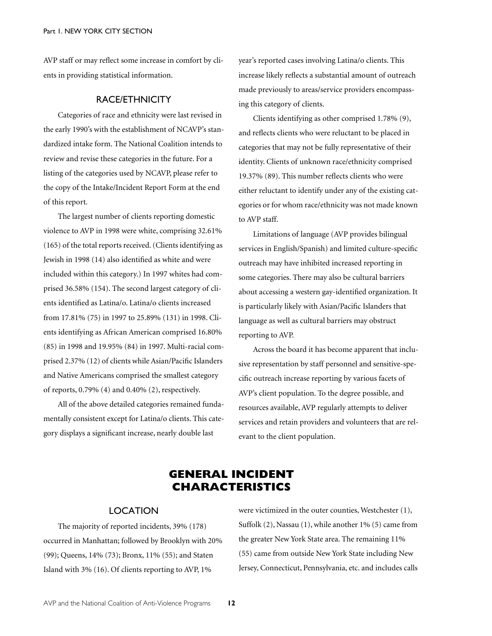AVP staff or may reflect some increase in comfort by clients in providing statistical information.

## RACE/ETHNICITY

Categories of race and ethnicity were last revised in the early 1990's with the establishment of NCAVP's standardized intake form. The National Coalition intends to review and revise these categories in the future. For a listing of the categories used by NCAVP, please refer to the copy of the Intake/Incident Report Form at the end of this report.

The largest number of clients reporting domestic violence to AVP in 1998 were white, comprising 32.61% (165) of the total reports received. (Clients identifying as Jewish in 1998 (14) also identified as white and were included within this category.) In 1997 whites had comprised 36.58% (154). The second largest category of clients identified as Latina/o. Latina/o clients increased from 17.81% (75) in 1997 to 25.89% (131) in 1998. Clients identifying as African American comprised 16.80% (85) in 1998 and 19.95% (84) in 1997. Multi-racial comprised 2.37% (12) of clients while Asian/Pacific Islanders and Native Americans comprised the smallest category of reports, 0.79% (4) and 0.40% (2), respectively.

All of the above detailed categories remained fundamentally consistent except for Latina/o clients. This category displays a significant increase, nearly double last

year's reported cases involving Latina/o clients. This increase likely reflects a substantial amount of outreach made previously to areas/service providers encompassing this category of clients.

Clients identifying as other comprised 1.78% (9), and reflects clients who were reluctant to be placed in categories that may not be fully representative of their identity. Clients of unknown race/ethnicity comprised 19.37% (89). This number reflects clients who were either reluctant to identify under any of the existing categories or for whom race/ethnicity was not made known to AVP staff.

Limitations of language (AVP provides bilingual services in English/Spanish) and limited culture-specific outreach may have inhibited increased reporting in some categories. There may also be cultural barriers about accessing a western gay-identified organization. It is particularly likely with Asian/Pacific Islanders that language as well as cultural barriers may obstruct reporting to AVP.

Across the board it has become apparent that inclusive representation by staff personnel and sensitive-specific outreach increase reporting by various facets of AVP's client population. To the degree possible, and resources available, AVP regularly attempts to deliver services and retain providers and volunteers that are relevant to the client population.

# **GENERAL INCIDENT CHARACTERISTICS**

#### LOCATION

The majority of reported incidents, 39% (178) occurred in Manhattan; followed by Brooklyn with 20% (99); Queens, 14% (73); Bronx, 11% (55); and Staten Island with 3% (16). Of clients reporting to AVP, 1%

were victimized in the outer counties, Westchester (1), Suffolk (2), Nassau (1), while another 1% (5) came from the greater New York State area. The remaining 11% (55) came from outside New York State including New Jersey, Connecticut, Pennsylvania, etc. and includes calls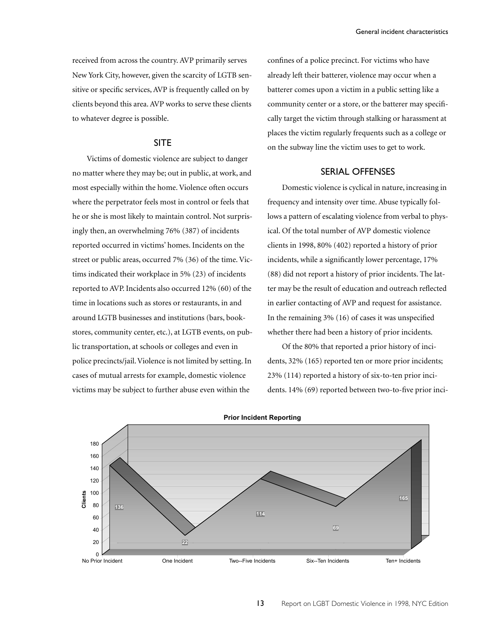received from across the country. AVP primarily serves New York City, however, given the scarcity of LGTB sensitive or specific services, AVP is frequently called on by clients beyond this area. AVP works to serve these clients to whatever degree is possible.

### SITE

Victims of domestic violence are subject to danger no matter where they may be; out in public, at work, and most especially within the home. Violence often occurs where the perpetrator feels most in control or feels that he or she is most likely to maintain control. Not surprisingly then, an overwhelming 76% (387) of incidents reported occurred in victims' homes. Incidents on the street or public areas, occurred 7% (36) of the time. Victims indicated their workplace in 5% (23) of incidents reported to AVP. Incidents also occurred 12% (60) of the time in locations such as stores or restaurants, in and around LGTB businesses and institutions (bars, bookstores, community center, etc.), at LGTB events, on public transportation, at schools or colleges and even in police precincts/jail. Violence is not limited by setting. In cases of mutual arrests for example, domestic violence victims may be subject to further abuse even within the

confines of a police precinct. For victims who have already left their batterer, violence may occur when a batterer comes upon a victim in a public setting like a community center or a store, or the batterer may specifically target the victim through stalking or harassment at places the victim regularly frequents such as a college or on the subway line the victim uses to get to work.

## SERIAL OFFENSES

Domestic violence is cyclical in nature, increasing in frequency and intensity over time. Abuse typically follows a pattern of escalating violence from verbal to physical. Of the total number of AVP domestic violence clients in 1998, 80% (402) reported a history of prior incidents, while a significantly lower percentage, 17% (88) did not report a history of prior incidents. The latter may be the result of education and outreach reflected in earlier contacting of AVP and request for assistance. In the remaining 3% (16) of cases it was unspecified whether there had been a history of prior incidents.

Of the 80% that reported a prior history of incidents, 32% (165) reported ten or more prior incidents; 23% (114) reported a history of six-to-ten prior incidents. 14% (69) reported between two-to-five prior inci-



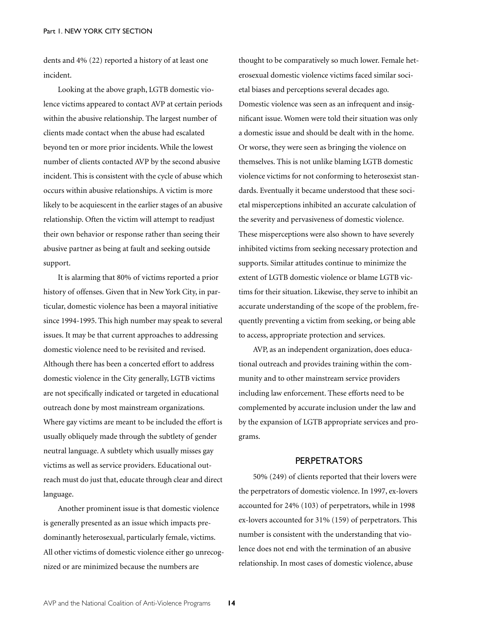dents and 4% (22) reported a history of at least one incident.

Looking at the above graph, LGTB domestic violence victims appeared to contact AVP at certain periods within the abusive relationship. The largest number of clients made contact when the abuse had escalated beyond ten or more prior incidents. While the lowest number of clients contacted AVP by the second abusive incident. This is consistent with the cycle of abuse which occurs within abusive relationships. A victim is more likely to be acquiescent in the earlier stages of an abusive relationship. Often the victim will attempt to readjust their own behavior or response rather than seeing their abusive partner as being at fault and seeking outside support.

It is alarming that 80% of victims reported a prior history of offenses. Given that in New York City, in particular, domestic violence has been a mayoral initiative since 1994-1995. This high number may speak to several issues. It may be that current approaches to addressing domestic violence need to be revisited and revised. Although there has been a concerted effort to address domestic violence in the City generally, LGTB victims are not specifically indicated or targeted in educational outreach done by most mainstream organizations. Where gay victims are meant to be included the effort is usually obliquely made through the subtlety of gender neutral language. A subtlety which usually misses gay victims as well as service providers. Educational outreach must do just that, educate through clear and direct language.

Another prominent issue is that domestic violence is generally presented as an issue which impacts predominantly heterosexual, particularly female, victims. All other victims of domestic violence either go unrecognized or are minimized because the numbers are

thought to be comparatively so much lower. Female heterosexual domestic violence victims faced similar societal biases and perceptions several decades ago. Domestic violence was seen as an infrequent and insignificant issue. Women were told their situation was only a domestic issue and should be dealt with in the home. Or worse, they were seen as bringing the violence on themselves. This is not unlike blaming LGTB domestic violence victims for not conforming to heterosexist standards. Eventually it became understood that these societal misperceptions inhibited an accurate calculation of the severity and pervasiveness of domestic violence. These misperceptions were also shown to have severely inhibited victims from seeking necessary protection and supports. Similar attitudes continue to minimize the extent of LGTB domestic violence or blame LGTB victims for their situation. Likewise, they serve to inhibit an accurate understanding of the scope of the problem, frequently preventing a victim from seeking, or being able to access, appropriate protection and services.

AVP, as an independent organization, does educational outreach and provides training within the community and to other mainstream service providers including law enforcement. These efforts need to be complemented by accurate inclusion under the law and by the expansion of LGTB appropriate services and programs.

#### PERPETRATORS

50% (249) of clients reported that their lovers were the perpetrators of domestic violence. In 1997, ex-lovers accounted for 24% (103) of perpetrators, while in 1998 ex-lovers accounted for 31% (159) of perpetrators. This number is consistent with the understanding that violence does not end with the termination of an abusive relationship. In most cases of domestic violence, abuse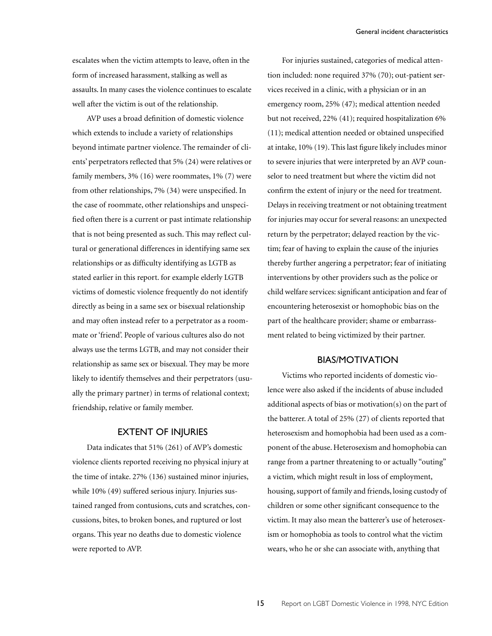escalates when the victim attempts to leave, often in the form of increased harassment, stalking as well as assaults. In many cases the violence continues to escalate well after the victim is out of the relationship.

AVP uses a broad definition of domestic violence which extends to include a variety of relationships beyond intimate partner violence. The remainder of clients' perpetrators reflected that 5% (24) were relatives or family members, 3% (16) were roommates, 1% (7) were from other relationships, 7% (34) were unspecified. In the case of roommate, other relationships and unspecified often there is a current or past intimate relationship that is not being presented as such. This may reflect cultural or generational differences in identifying same sex relationships or as difficulty identifying as LGTB as stated earlier in this report. for example elderly LGTB victims of domestic violence frequently do not identify directly as being in a same sex or bisexual relationship and may often instead refer to a perpetrator as a roommate or 'friend'. People of various cultures also do not always use the terms LGTB, and may not consider their relationship as same sex or bisexual. They may be more likely to identify themselves and their perpetrators (usually the primary partner) in terms of relational context; friendship, relative or family member.

## EXTENT OF INJURIES

Data indicates that 51% (261) of AVP's domestic violence clients reported receiving no physical injury at the time of intake. 27% (136) sustained minor injuries, while 10% (49) suffered serious injury. Injuries sustained ranged from contusions, cuts and scratches, concussions, bites, to broken bones, and ruptured or lost organs. This year no deaths due to domestic violence were reported to AVP.

For injuries sustained, categories of medical attention included: none required 37% (70); out-patient services received in a clinic, with a physician or in an emergency room, 25% (47); medical attention needed but not received, 22% (41); required hospitalization 6% (11); medical attention needed or obtained unspecified at intake, 10% (19). This last figure likely includes minor to severe injuries that were interpreted by an AVP counselor to need treatment but where the victim did not confirm the extent of injury or the need for treatment. Delays in receiving treatment or not obtaining treatment for injuries may occur for several reasons: an unexpected return by the perpetrator; delayed reaction by the victim; fear of having to explain the cause of the injuries thereby further angering a perpetrator; fear of initiating interventions by other providers such as the police or child welfare services: significant anticipation and fear of encountering heterosexist or homophobic bias on the part of the healthcare provider; shame or embarrassment related to being victimized by their partner.

## BIAS/MOTIVATION

Victims who reported incidents of domestic violence were also asked if the incidents of abuse included additional aspects of bias or motivation(s) on the part of the batterer. A total of 25% (27) of clients reported that heterosexism and homophobia had been used as a component of the abuse. Heterosexism and homophobia can range from a partner threatening to or actually "outing" a victim, which might result in loss of employment, housing, support of family and friends, losing custody of children or some other significant consequence to the victim. It may also mean the batterer's use of heterosexism or homophobia as tools to control what the victim wears, who he or she can associate with, anything that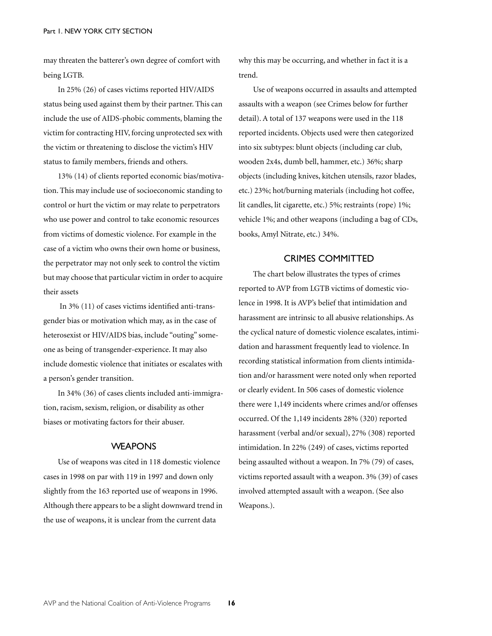may threaten the batterer's own degree of comfort with being LGTB.

In 25% (26) of cases victims reported HIV/AIDS status being used against them by their partner. This can include the use of AIDS-phobic comments, blaming the victim for contracting HIV, forcing unprotected sex with the victim or threatening to disclose the victim's HIV status to family members, friends and others.

13% (14) of clients reported economic bias/motivation. This may include use of socioeconomic standing to control or hurt the victim or may relate to perpetrators who use power and control to take economic resources from victims of domestic violence. For example in the case of a victim who owns their own home or business, the perpetrator may not only seek to control the victim but may choose that particular victim in order to acquire their assets

 In 3% (11) of cases victims identified anti-transgender bias or motivation which may, as in the case of heterosexist or HIV/AIDS bias, include "outing" someone as being of transgender-experience. It may also include domestic violence that initiates or escalates with a person's gender transition.

In 34% (36) of cases clients included anti-immigration, racism, sexism, religion, or disability as other biases or motivating factors for their abuser.

### **WEAPONS**

Use of weapons was cited in 118 domestic violence cases in 1998 on par with 119 in 1997 and down only slightly from the 163 reported use of weapons in 1996. Although there appears to be a slight downward trend in the use of weapons, it is unclear from the current data

why this may be occurring, and whether in fact it is a trend.

Use of weapons occurred in assaults and attempted assaults with a weapon (see Crimes below for further detail). A total of 137 weapons were used in the 118 reported incidents. Objects used were then categorized into six subtypes: blunt objects (including car club, wooden 2x4s, dumb bell, hammer, etc.) 36%; sharp objects (including knives, kitchen utensils, razor blades, etc.) 23%; hot/burning materials (including hot coffee, lit candles, lit cigarette, etc.) 5%; restraints (rope) 1%; vehicle 1%; and other weapons (including a bag of CDs, books, Amyl Nitrate, etc.) 34%.

#### CRIMES COMMITTED

The chart below illustrates the types of crimes reported to AVP from LGTB victims of domestic violence in 1998. It is AVP's belief that intimidation and harassment are intrinsic to all abusive relationships. As the cyclical nature of domestic violence escalates, intimidation and harassment frequently lead to violence. In recording statistical information from clients intimidation and/or harassment were noted only when reported or clearly evident. In 506 cases of domestic violence there were 1,149 incidents where crimes and/or offenses occurred. Of the 1,149 incidents 28% (320) reported harassment (verbal and/or sexual), 27% (308) reported intimidation. In 22% (249) of cases, victims reported being assaulted without a weapon. In 7% (79) of cases, victims reported assault with a weapon. 3% (39) of cases involved attempted assault with a weapon. (See also Weapons.).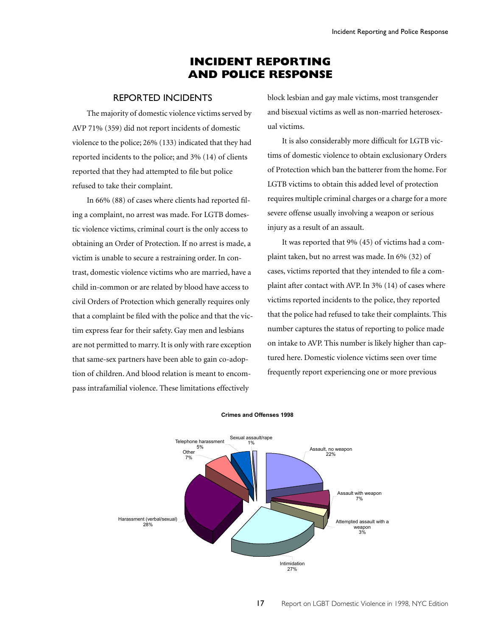# **INCIDENT REPORTING AND POLICE RESPONSE**

## REPORTED INCIDENTS

The majority of domestic violence victims served by AVP 71% (359) did not report incidents of domestic violence to the police; 26% (133) indicated that they had reported incidents to the police; and 3% (14) of clients reported that they had attempted to file but police refused to take their complaint.

In 66% (88) of cases where clients had reported filing a complaint, no arrest was made. For LGTB domestic violence victims, criminal court is the only access to obtaining an Order of Protection. If no arrest is made, a victim is unable to secure a restraining order. In contrast, domestic violence victims who are married, have a child in-common or are related by blood have access to civil Orders of Protection which generally requires only that a complaint be filed with the police and that the victim express fear for their safety. Gay men and lesbians are not permitted to marry. It is only with rare exception that same-sex partners have been able to gain co-adoption of children. And blood relation is meant to encompass intrafamilial violence. These limitations effectively

block lesbian and gay male victims, most transgender and bisexual victims as well as non-married heterosexual victims.

It is also considerably more difficult for LGTB victims of domestic violence to obtain exclusionary Orders of Protection which ban the batterer from the home. For LGTB victims to obtain this added level of protection requires multiple criminal charges or a charge for a more severe offense usually involving a weapon or serious injury as a result of an assault.

It was reported that 9% (45) of victims had a complaint taken, but no arrest was made. In 6% (32) of cases, victims reported that they intended to file a complaint after contact with AVP. In 3% (14) of cases where victims reported incidents to the police, they reported that the police had refused to take their complaints. This number captures the status of reporting to police made on intake to AVP. This number is likely higher than captured here. Domestic violence victims seen over time frequently report experiencing one or more previous



#### **Crimes and Offenses 1998**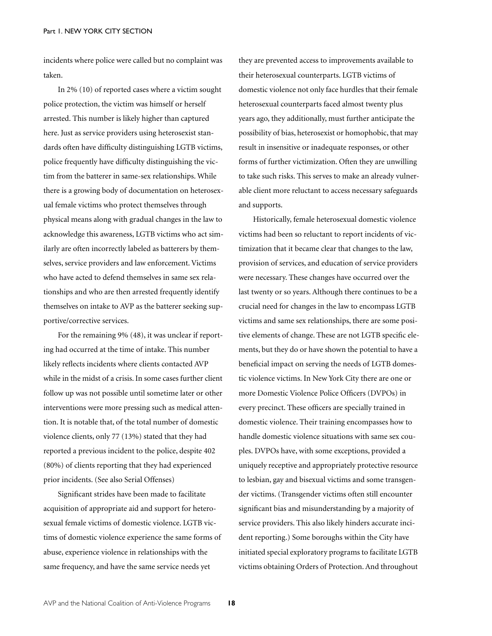incidents where police were called but no complaint was taken.

In 2% (10) of reported cases where a victim sought police protection, the victim was himself or herself arrested. This number is likely higher than captured here. Just as service providers using heterosexist standards often have difficulty distinguishing LGTB victims, police frequently have difficulty distinguishing the victim from the batterer in same-sex relationships. While there is a growing body of documentation on heterosexual female victims who protect themselves through physical means along with gradual changes in the law to acknowledge this awareness, LGTB victims who act similarly are often incorrectly labeled as batterers by themselves, service providers and law enforcement. Victims who have acted to defend themselves in same sex relationships and who are then arrested frequently identify themselves on intake to AVP as the batterer seeking supportive/corrective services.

For the remaining 9% (48), it was unclear if reporting had occurred at the time of intake. This number likely reflects incidents where clients contacted AVP while in the midst of a crisis. In some cases further client follow up was not possible until sometime later or other interventions were more pressing such as medical attention. It is notable that, of the total number of domestic violence clients, only 77 (13%) stated that they had reported a previous incident to the police, despite 402 (80%) of clients reporting that they had experienced prior incidents. (See also Serial Offenses)

Significant strides have been made to facilitate acquisition of appropriate aid and support for heterosexual female victims of domestic violence. LGTB victims of domestic violence experience the same forms of abuse, experience violence in relationships with the same frequency, and have the same service needs yet

they are prevented access to improvements available to their heterosexual counterparts. LGTB victims of domestic violence not only face hurdles that their female heterosexual counterparts faced almost twenty plus years ago, they additionally, must further anticipate the possibility of bias, heterosexist or homophobic, that may result in insensitive or inadequate responses, or other forms of further victimization. Often they are unwilling to take such risks. This serves to make an already vulnerable client more reluctant to access necessary safeguards and supports.

Historically, female heterosexual domestic violence victims had been so reluctant to report incidents of victimization that it became clear that changes to the law, provision of services, and education of service providers were necessary. These changes have occurred over the last twenty or so years. Although there continues to be a crucial need for changes in the law to encompass LGTB victims and same sex relationships, there are some positive elements of change. These are not LGTB specific elements, but they do or have shown the potential to have a beneficial impact on serving the needs of LGTB domestic violence victims. In New York City there are one or more Domestic Violence Police Officers (DVPOs) in every precinct. These officers are specially trained in domestic violence. Their training encompasses how to handle domestic violence situations with same sex couples. DVPOs have, with some exceptions, provided a uniquely receptive and appropriately protective resource to lesbian, gay and bisexual victims and some transgender victims. (Transgender victims often still encounter significant bias and misunderstanding by a majority of service providers. This also likely hinders accurate incident reporting.) Some boroughs within the City have initiated special exploratory programs to facilitate LGTB victims obtaining Orders of Protection. And throughout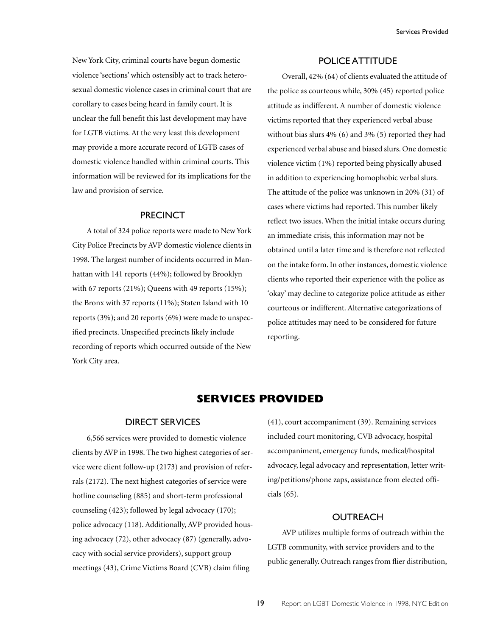New York City, criminal courts have begun domestic violence 'sections' which ostensibly act to track heterosexual domestic violence cases in criminal court that are corollary to cases being heard in family court. It is unclear the full benefit this last development may have for LGTB victims. At the very least this development may provide a more accurate record of LGTB cases of domestic violence handled within criminal courts. This information will be reviewed for its implications for the law and provision of service.

## PRECINCT

A total of 324 police reports were made to New York City Police Precincts by AVP domestic violence clients in 1998. The largest number of incidents occurred in Manhattan with 141 reports (44%); followed by Brooklyn with 67 reports (21%); Queens with 49 reports (15%); the Bronx with 37 reports (11%); Staten Island with 10 reports (3%); and 20 reports (6%) were made to unspecified precincts. Unspecified precincts likely include recording of reports which occurred outside of the New York City area.

## POLICE ATTITUDE

Overall, 42% (64) of clients evaluated the attitude of the police as courteous while, 30% (45) reported police attitude as indifferent. A number of domestic violence victims reported that they experienced verbal abuse without bias slurs 4% (6) and 3% (5) reported they had experienced verbal abuse and biased slurs. One domestic violence victim (1%) reported being physically abused in addition to experiencing homophobic verbal slurs. The attitude of the police was unknown in 20% (31) of cases where victims had reported. This number likely reflect two issues. When the initial intake occurs during an immediate crisis, this information may not be obtained until a later time and is therefore not reflected on the intake form. In other instances, domestic violence clients who reported their experience with the police as 'okay' may decline to categorize police attitude as either courteous or indifferent. Alternative categorizations of police attitudes may need to be considered for future reporting.

# **SERVICES PROVIDED**

#### DIRECT SERVICES

6,566 services were provided to domestic violence clients by AVP in 1998. The two highest categories of service were client follow-up (2173) and provision of referrals (2172). The next highest categories of service were hotline counseling (885) and short-term professional counseling (423); followed by legal advocacy (170); police advocacy (118). Additionally, AVP provided housing advocacy (72), other advocacy (87) (generally, advocacy with social service providers), support group meetings (43), Crime Victims Board (CVB) claim filing

(41), court accompaniment (39). Remaining services included court monitoring, CVB advocacy, hospital accompaniment, emergency funds, medical/hospital advocacy, legal advocacy and representation, letter writing/petitions/phone zaps, assistance from elected officials (65).

## **OUTREACH**

AVP utilizes multiple forms of outreach within the LGTB community, with service providers and to the public generally. Outreach ranges from flier distribution,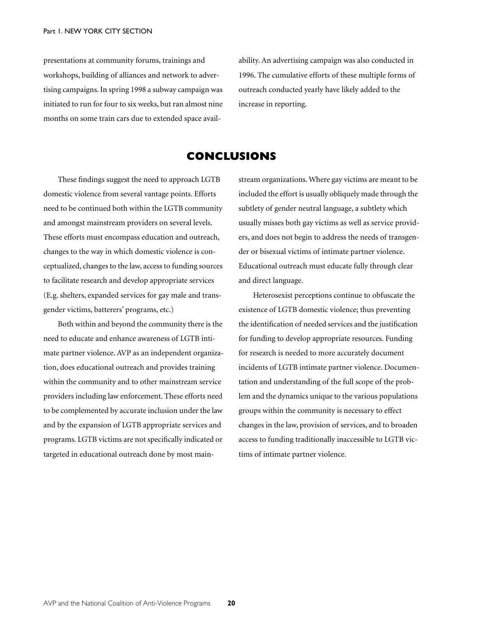presentations at community forums, trainings and workshops, building of alliances and network to advertising campaigns. In spring 1998 a subway campaign was initiated to run for four to six weeks, but ran almost nine months on some train cars due to extended space avail-

ability. An advertising campaign was also conducted in 1996. The cumulative efforts of these multiple forms of outreach conducted yearly have likely added to the increase in reporting.

# **CONCLUSIONS**

These findings suggest the need to approach LGTB domestic violence from several vantage points. Efforts need to be continued both within the LGTB community and amongst mainstream providers on several levels. These efforts must encompass education and outreach, changes to the way in which domestic violence is conceptualized, changes to the law, access to funding sources to facilitate research and develop appropriate services (E.g. shelters, expanded services for gay male and transgender victims, batterers' programs, etc.)

Both within and beyond the community there is the need to educate and enhance awareness of LGTB intimate partner violence. AVP as an independent organization, does educational outreach and provides training within the community and to other mainstream service providers including law enforcement. These efforts need to be complemented by accurate inclusion under the law and by the expansion of LGTB appropriate services and programs. LGTB victims are not specifically indicated or targeted in educational outreach done by most main-

stream organizations. Where gay victims are meant to be included the effort is usually obliquely made through the subtlety of gender neutral language, a subtlety which usually misses both gay victims as well as service providers, and does not begin to address the needs of transgender or bisexual victims of intimate partner violence. Educational outreach must educate fully through clear and direct language.

Heterosexist perceptions continue to obfuscate the existence of LGTB domestic violence; thus preventing the identification of needed services and the justification for funding to develop appropriate resources. Funding for research is needed to more accurately document incidents of LGTB intimate partner violence. Documentation and understanding of the full scope of the problem and the dynamics unique to the various populations groups within the community is necessary to effect changes in the law, provision of services, and to broaden access to funding traditionally inaccessible to LGTB victims of intimate partner violence.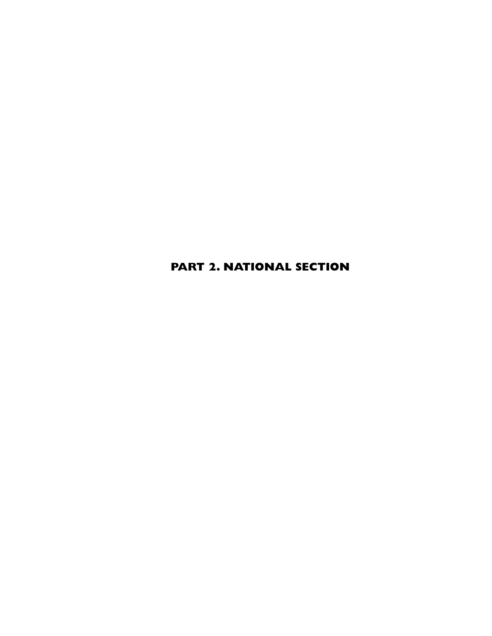**PART 2. NATIONAL SECTION**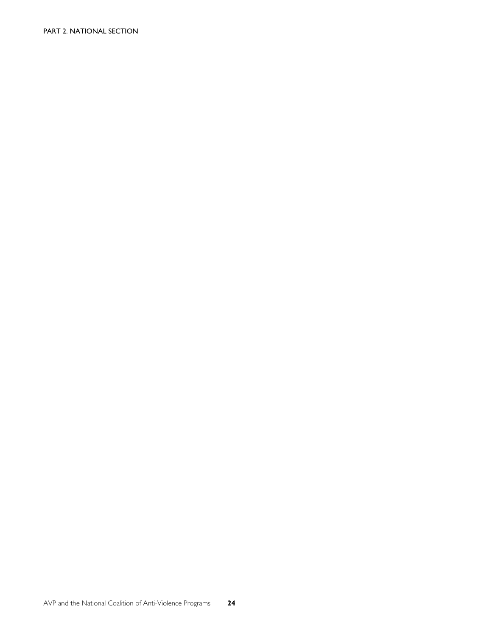## PART 2. NATIONAL SECTION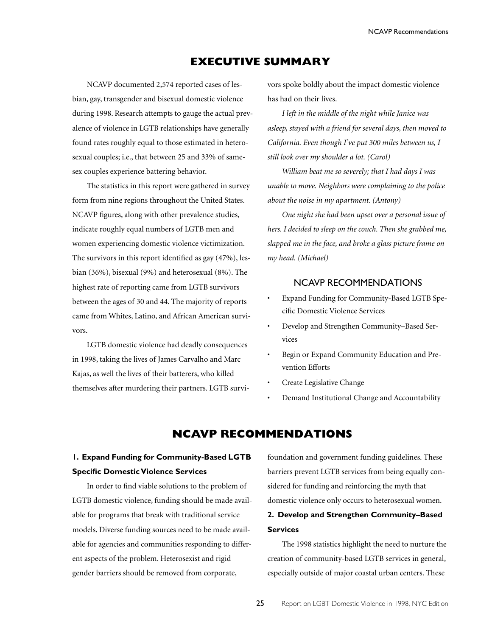## **EXECUTIVE SUMMARY**

NCAVP documented 2,574 reported cases of lesbian, gay, transgender and bisexual domestic violence during 1998. Research attempts to gauge the actual prevalence of violence in LGTB relationships have generally found rates roughly equal to those estimated in heterosexual couples; i.e., that between 25 and 33% of samesex couples experience battering behavior.

The statistics in this report were gathered in survey form from nine regions throughout the United States. NCAVP figures, along with other prevalence studies, indicate roughly equal numbers of LGTB men and women experiencing domestic violence victimization. The survivors in this report identified as gay (47%), lesbian (36%), bisexual (9%) and heterosexual (8%). The highest rate of reporting came from LGTB survivors between the ages of 30 and 44. The majority of reports came from Whites, Latino, and African American survivors.

LGTB domestic violence had deadly consequences in 1998, taking the lives of James Carvalho and Marc Kajas, as well the lives of their batterers, who killed themselves after murdering their partners. LGTB survivors spoke boldly about the impact domestic violence has had on their lives.

*I left in the middle of the night while Janice was asleep, stayed with a friend for several days, then moved to California. Even though I've put 300 miles between us, I still look over my shoulder a lot. (Carol)*

*William beat me so severely; that I had days I was unable to move. Neighbors were complaining to the police about the noise in my apartment. (Antony)* 

*One night she had been upset over a personal issue of hers. I decided to sleep on the couch. Then she grabbed me, slapped me in the face, and broke a glass picture frame on my head. (Michael)*

## NCAVP RECOMMENDATIONS

- Expand Funding for Community-Based LGTB Specific Domestic Violence Services
- Develop and Strengthen Community–Based Services
- Begin or Expand Community Education and Prevention Efforts
- Create Legislative Change
- Demand Institutional Change and Accountability

# **NCAVP RECOMMENDATIONS**

# **1. Expand Funding for Community-Based LGTB Specific Domestic Violence Services**

In order to find viable solutions to the problem of LGTB domestic violence, funding should be made available for programs that break with traditional service models. Diverse funding sources need to be made available for agencies and communities responding to different aspects of the problem. Heterosexist and rigid gender barriers should be removed from corporate,

foundation and government funding guidelines. These barriers prevent LGTB services from being equally considered for funding and reinforcing the myth that domestic violence only occurs to heterosexual women.

# **2. Develop and Strengthen Community–Based Services**

The 1998 statistics highlight the need to nurture the creation of community-based LGTB services in general, especially outside of major coastal urban centers. These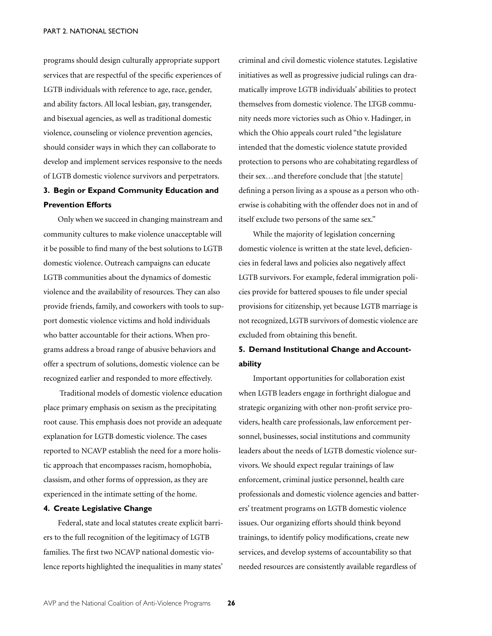programs should design culturally appropriate support services that are respectful of the specific experiences of LGTB individuals with reference to age, race, gender, and ability factors. All local lesbian, gay, transgender, and bisexual agencies, as well as traditional domestic violence, counseling or violence prevention agencies, should consider ways in which they can collaborate to develop and implement services responsive to the needs of LGTB domestic violence survivors and perpetrators. **3. Begin or Expand Community Education and** 

# **Prevention Efforts**

Only when we succeed in changing mainstream and community cultures to make violence unacceptable will it be possible to find many of the best solutions to LGTB domestic violence. Outreach campaigns can educate LGTB communities about the dynamics of domestic violence and the availability of resources. They can also provide friends, family, and coworkers with tools to support domestic violence victims and hold individuals who batter accountable for their actions. When programs address a broad range of abusive behaviors and offer a spectrum of solutions, domestic violence can be recognized earlier and responded to more effectively.

 Traditional models of domestic violence education place primary emphasis on sexism as the precipitating root cause. This emphasis does not provide an adequate explanation for LGTB domestic violence. The cases reported to NCAVP establish the need for a more holistic approach that encompasses racism, homophobia, classism, and other forms of oppression, as they are experienced in the intimate setting of the home.

#### **4. Create Legislative Change**

Federal, state and local statutes create explicit barriers to the full recognition of the legitimacy of LGTB families. The first two NCAVP national domestic violence reports highlighted the inequalities in many states' criminal and civil domestic violence statutes. Legislative initiatives as well as progressive judicial rulings can dramatically improve LGTB individuals' abilities to protect themselves from domestic violence. The LTGB community needs more victories such as Ohio v. Hadinger, in which the Ohio appeals court ruled "the legislature intended that the domestic violence statute provided protection to persons who are cohabitating regardless of their sex…and therefore conclude that [the statute] defining a person living as a spouse as a person who otherwise is cohabiting with the offender does not in and of itself exclude two persons of the same sex."

While the majority of legislation concerning domestic violence is written at the state level, deficiencies in federal laws and policies also negatively affect LGTB survivors. For example, federal immigration policies provide for battered spouses to file under special provisions for citizenship, yet because LGTB marriage is not recognized, LGTB survivors of domestic violence are excluded from obtaining this benefit.

# **5. Demand Institutional Change and Accountability**

Important opportunities for collaboration exist when LGTB leaders engage in forthright dialogue and strategic organizing with other non-profit service providers, health care professionals, law enforcement personnel, businesses, social institutions and community leaders about the needs of LGTB domestic violence survivors. We should expect regular trainings of law enforcement, criminal justice personnel, health care professionals and domestic violence agencies and batterers' treatment programs on LGTB domestic violence issues. Our organizing efforts should think beyond trainings, to identify policy modifications, create new services, and develop systems of accountability so that needed resources are consistently available regardless of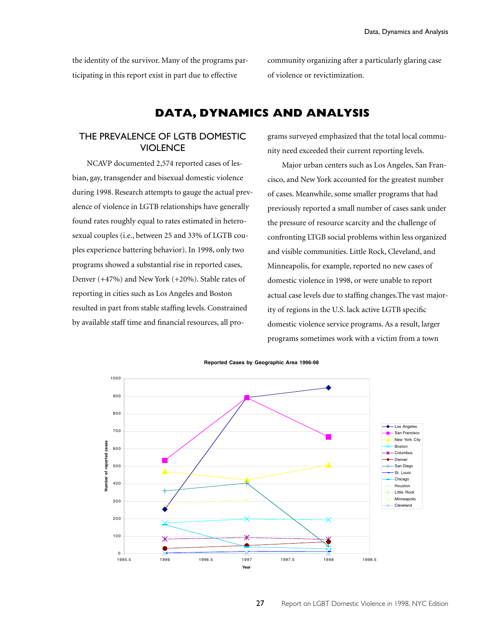the identity of the survivor. Many of the programs participating in this report exist in part due to effective

community organizing after a particularly glaring case of violence or revictimization.

# **DATA, DYNAMICS AND ANALYSIS**

# THE PREVALENCE OF LGTB DOMESTIC **VIOLENCE**

NCAVP documented 2,574 reported cases of lesbian, gay, transgender and bisexual domestic violence during 1998. Research attempts to gauge the actual prevalence of violence in LGTB relationships have generally found rates roughly equal to rates estimated in heterosexual couples (i.e., between 25 and 33% of LGTB couples experience battering behavior). In 1998, only two programs showed a substantial rise in reported cases, Denver (+47%) and New York (+20%). Stable rates of reporting in cities such as Los Angeles and Boston resulted in part from stable staffing levels. Constrained by available staff time and financial resources, all programs surveyed emphasized that the total local community need exceeded their current reporting levels.

Major urban centers such as Los Angeles, San Francisco, and New York accounted for the greatest number of cases. Meanwhile, some smaller programs that had previously reported a small number of cases sank under the pressure of resource scarcity and the challenge of confronting LTGB social problems within less organized and visible communities. Little Rock, Cleveland, and Minneapolis, for example, reported no new cases of domestic violence in 1998, or were unable to report actual case levels due to staffing changes.The vast majority of regions in the U.S. lack active LGTB specific domestic violence service programs. As a result, larger programs sometimes work with a victim from a town



**Reported Cases by Geographic Area 1996-98**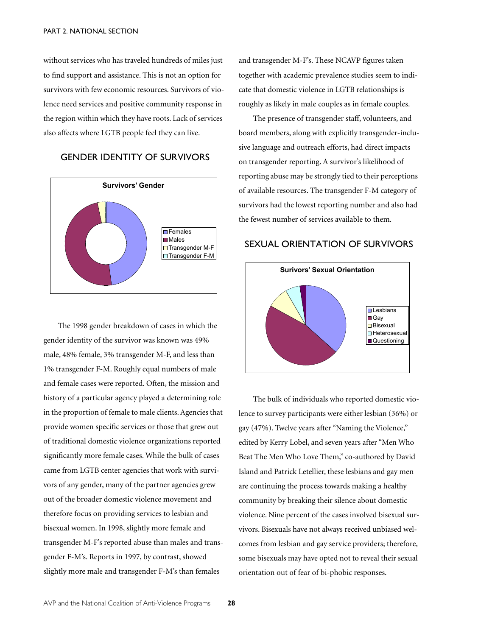without services who has traveled hundreds of miles just to find support and assistance. This is not an option for survivors with few economic resources. Survivors of violence need services and positive community response in the region within which they have roots. Lack of services also affects where LGTB people feel they can live.

## GENDER IDENTITY OF SURVIVORS



The 1998 gender breakdown of cases in which the gender identity of the survivor was known was 49% male, 48% female, 3% transgender M-F, and less than 1% transgender F-M. Roughly equal numbers of male and female cases were reported. Often, the mission and history of a particular agency played a determining role in the proportion of female to male clients. Agencies that provide women specific services or those that grew out of traditional domestic violence organizations reported significantly more female cases. While the bulk of cases came from LGTB center agencies that work with survivors of any gender, many of the partner agencies grew out of the broader domestic violence movement and therefore focus on providing services to lesbian and bisexual women. In 1998, slightly more female and transgender M-F's reported abuse than males and transgender F-M's. Reports in 1997, by contrast, showed slightly more male and transgender F-M's than females

and transgender M-F's. These NCAVP figures taken together with academic prevalence studies seem to indicate that domestic violence in LGTB relationships is roughly as likely in male couples as in female couples.

The presence of transgender staff, volunteers, and board members, along with explicitly transgender-inclusive language and outreach efforts, had direct impacts on transgender reporting. A survivor's likelihood of reporting abuse may be strongly tied to their perceptions of available resources. The transgender F-M category of survivors had the lowest reporting number and also had the fewest number of services available to them.

# **Surivors' Sexual Orientation Lesbians** ■ Gay **Bisexual I**⊟ Heterosexua **Questioning**

The bulk of individuals who reported domestic violence to survey participants were either lesbian (36%) or gay (47%). Twelve years after "Naming the Violence," edited by Kerry Lobel, and seven years after "Men Who Beat The Men Who Love Them," co-authored by David Island and Patrick Letellier, these lesbians and gay men are continuing the process towards making a healthy community by breaking their silence about domestic violence. Nine percent of the cases involved bisexual survivors. Bisexuals have not always received unbiased welcomes from lesbian and gay service providers; therefore, some bisexuals may have opted not to reveal their sexual orientation out of fear of bi-phobic responses.

## SEXUAL ORIENTATION OF SURVIVORS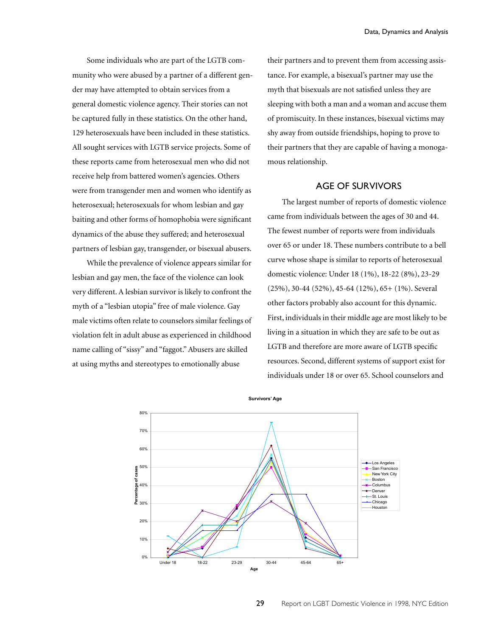Some individuals who are part of the LGTB community who were abused by a partner of a different gender may have attempted to obtain services from a general domestic violence agency. Their stories can not be captured fully in these statistics. On the other hand, 129 heterosexuals have been included in these statistics. All sought services with LGTB service projects. Some of these reports came from heterosexual men who did not receive help from battered women's agencies. Others were from transgender men and women who identify as heterosexual; heterosexuals for whom lesbian and gay baiting and other forms of homophobia were significant dynamics of the abuse they suffered; and heterosexual partners of lesbian gay, transgender, or bisexual abusers.

While the prevalence of violence appears similar for lesbian and gay men, the face of the violence can look very different. A lesbian survivor is likely to confront the myth of a "lesbian utopia" free of male violence. Gay male victims often relate to counselors similar feelings of violation felt in adult abuse as experienced in childhood name calling of "sissy" and "faggot." Abusers are skilled at using myths and stereotypes to emotionally abuse

their partners and to prevent them from accessing assistance. For example, a bisexual's partner may use the myth that bisexuals are not satisfied unless they are sleeping with both a man and a woman and accuse them of promiscuity. In these instances, bisexual victims may shy away from outside friendships, hoping to prove to their partners that they are capable of having a monogamous relationship.

## AGE OF SURVIVORS

The largest number of reports of domestic violence came from individuals between the ages of 30 and 44. The fewest number of reports were from individuals over 65 or under 18. These numbers contribute to a bell curve whose shape is similar to reports of heterosexual domestic violence: Under 18 (1%), 18-22 (8%), 23-29 (25%), 30-44 (52%), 45-64 (12%), 65+ (1%). Several other factors probably also account for this dynamic. First, individuals in their middle age are most likely to be living in a situation in which they are safe to be out as LGTB and therefore are more aware of LGTB specific resources. Second, different systems of support exist for individuals under 18 or over 65. School counselors and

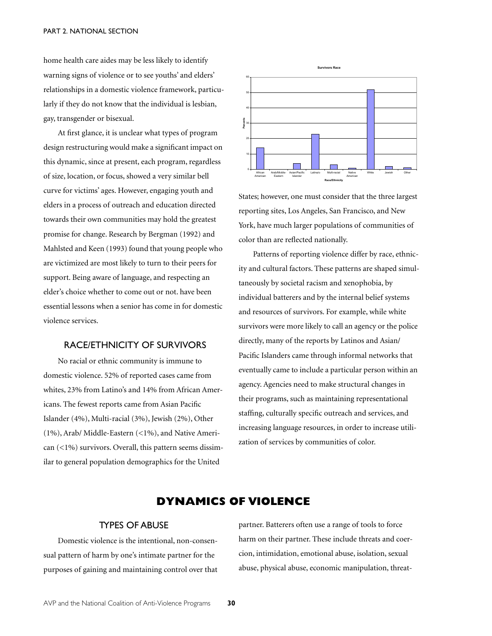home health care aides may be less likely to identify warning signs of violence or to see youths' and elders' relationships in a domestic violence framework, particularly if they do not know that the individual is lesbian, gay, transgender or bisexual.

At first glance, it is unclear what types of program design restructuring would make a significant impact on this dynamic, since at present, each program, regardless of size, location, or focus, showed a very similar bell curve for victims' ages. However, engaging youth and elders in a process of outreach and education directed towards their own communities may hold the greatest promise for change. Research by Bergman (1992) and Mahlsted and Keen (1993) found that young people who are victimized are most likely to turn to their peers for support. Being aware of language, and respecting an elder's choice whether to come out or not. have been essential lessons when a senior has come in for domestic violence services.

#### RACE/ETHNICITY OF SURVIVORS

No racial or ethnic community is immune to domestic violence. 52% of reported cases came from whites, 23% from Latino's and 14% from African Americans. The fewest reports came from Asian Pacific Islander (4%), Multi-racial (3%), Jewish (2%), Other (1%), Arab/ Middle-Eastern (<1%), and Native American  $(<1%)$  survivors. Overall, this pattern seems dissimilar to general population demographics for the United



States; however, one must consider that the three largest reporting sites, Los Angeles, San Francisco, and New York, have much larger populations of communities of color than are reflected nationally.

Patterns of reporting violence differ by race, ethnicity and cultural factors. These patterns are shaped simultaneously by societal racism and xenophobia, by individual batterers and by the internal belief systems and resources of survivors. For example, while white survivors were more likely to call an agency or the police directly, many of the reports by Latinos and Asian/ Pacific Islanders came through informal networks that eventually came to include a particular person within an agency. Agencies need to make structural changes in their programs, such as maintaining representational staffing, culturally specific outreach and services, and increasing language resources, in order to increase utilization of services by communities of color.

## **DYNAMICS OF VIOLENCE**

## TYPES OF ABUSE

Domestic violence is the intentional, non-consensual pattern of harm by one's intimate partner for the purposes of gaining and maintaining control over that

partner. Batterers often use a range of tools to force harm on their partner. These include threats and coercion, intimidation, emotional abuse, isolation, sexual abuse, physical abuse, economic manipulation, threat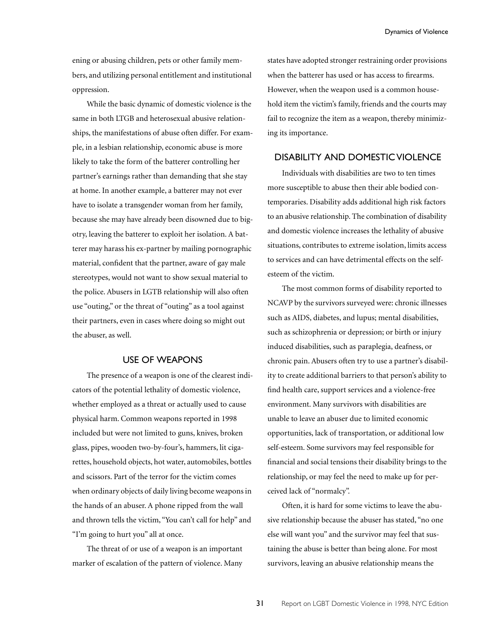ening or abusing children, pets or other family members, and utilizing personal entitlement and institutional oppression.

While the basic dynamic of domestic violence is the same in both LTGB and heterosexual abusive relationships, the manifestations of abuse often differ. For example, in a lesbian relationship, economic abuse is more likely to take the form of the batterer controlling her partner's earnings rather than demanding that she stay at home. In another example, a batterer may not ever have to isolate a transgender woman from her family, because she may have already been disowned due to bigotry, leaving the batterer to exploit her isolation. A batterer may harass his ex-partner by mailing pornographic material, confident that the partner, aware of gay male stereotypes, would not want to show sexual material to the police. Abusers in LGTB relationship will also often use "outing," or the threat of "outing" as a tool against their partners, even in cases where doing so might out the abuser, as well.

# USE OF WEAPONS

The presence of a weapon is one of the clearest indicators of the potential lethality of domestic violence, whether employed as a threat or actually used to cause physical harm. Common weapons reported in 1998 included but were not limited to guns, knives, broken glass, pipes, wooden two-by-four's, hammers, lit cigarettes, household objects, hot water, automobiles, bottles and scissors. Part of the terror for the victim comes when ordinary objects of daily living become weapons in the hands of an abuser. A phone ripped from the wall and thrown tells the victim, "You can't call for help" and "I'm going to hurt you" all at once.

The threat of or use of a weapon is an important marker of escalation of the pattern of violence. Many states have adopted stronger restraining order provisions when the batterer has used or has access to firearms. However, when the weapon used is a common household item the victim's family, friends and the courts may fail to recognize the item as a weapon, thereby minimizing its importance.

#### DISABILITY AND DOMESTIC VIOLENCE

Individuals with disabilities are two to ten times more susceptible to abuse then their able bodied contemporaries. Disability adds additional high risk factors to an abusive relationship. The combination of disability and domestic violence increases the lethality of abusive situations, contributes to extreme isolation, limits access to services and can have detrimental effects on the selfesteem of the victim.

The most common forms of disability reported to NCAVP by the survivors surveyed were: chronic illnesses such as AIDS, diabetes, and lupus; mental disabilities, such as schizophrenia or depression; or birth or injury induced disabilities, such as paraplegia, deafness, or chronic pain. Abusers often try to use a partner's disability to create additional barriers to that person's ability to find health care, support services and a violence-free environment. Many survivors with disabilities are unable to leave an abuser due to limited economic opportunities, lack of transportation, or additional low self-esteem. Some survivors may feel responsible for financial and social tensions their disability brings to the relationship, or may feel the need to make up for perceived lack of "normalcy".

Often, it is hard for some victims to leave the abusive relationship because the abuser has stated, "no one else will want you" and the survivor may feel that sustaining the abuse is better than being alone. For most survivors, leaving an abusive relationship means the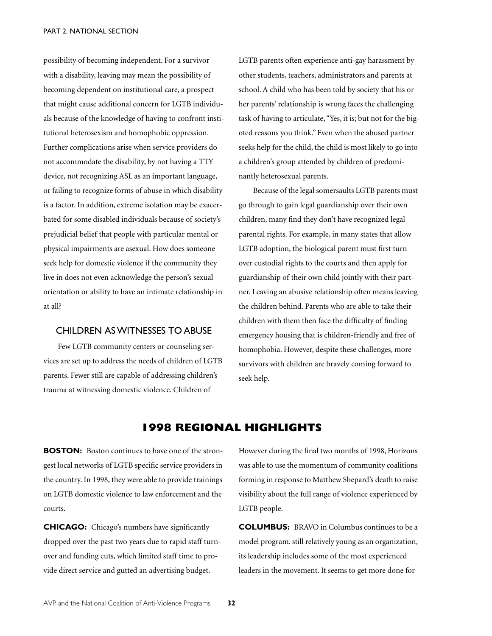possibility of becoming independent. For a survivor with a disability, leaving may mean the possibility of becoming dependent on institutional care, a prospect that might cause additional concern for LGTB individuals because of the knowledge of having to confront institutional heterosexism and homophobic oppression. Further complications arise when service providers do not accommodate the disability, by not having a TTY device, not recognizing ASL as an important language, or failing to recognize forms of abuse in which disability is a factor. In addition, extreme isolation may be exacerbated for some disabled individuals because of society's prejudicial belief that people with particular mental or physical impairments are asexual. How does someone seek help for domestic violence if the community they live in does not even acknowledge the person's sexual orientation or ability to have an intimate relationship in at all?

## CHILDREN AS WITNESSES TO ABUSE

Few LGTB community centers or counseling services are set up to address the needs of children of LGTB parents. Fewer still are capable of addressing children's trauma at witnessing domestic violence. Children of

LGTB parents often experience anti-gay harassment by other students, teachers, administrators and parents at school. A child who has been told by society that his or her parents' relationship is wrong faces the challenging task of having to articulate, "Yes, it is; but not for the bigoted reasons you think." Even when the abused partner seeks help for the child, the child is most likely to go into a children's group attended by children of predominantly heterosexual parents.

Because of the legal somersaults LGTB parents must go through to gain legal guardianship over their own children, many find they don't have recognized legal parental rights. For example, in many states that allow LGTB adoption, the biological parent must first turn over custodial rights to the courts and then apply for guardianship of their own child jointly with their partner. Leaving an abusive relationship often means leaving the children behind. Parents who are able to take their children with them then face the difficulty of finding emergency housing that is children-friendly and free of homophobia. However, despite these challenges, more survivors with children are bravely coming forward to seek help.

# **1998 REGIONAL HIGHLIGHTS**

**BOSTON:** Boston continues to have one of the strongest local networks of LGTB specific service providers in the country. In 1998, they were able to provide trainings on LGTB domestic violence to law enforcement and the courts.

**CHICAGO:** Chicago's numbers have significantly dropped over the past two years due to rapid staff turnover and funding cuts, which limited staff time to provide direct service and gutted an advertising budget.

However during the final two months of 1998, Horizons was able to use the momentum of community coalitions forming in response to Matthew Shepard's death to raise visibility about the full range of violence experienced by LGTB people.

**COLUMBUS:** BRAVO in Columbus continues to be a model program. still relatively young as an organization, its leadership includes some of the most experienced leaders in the movement. It seems to get more done for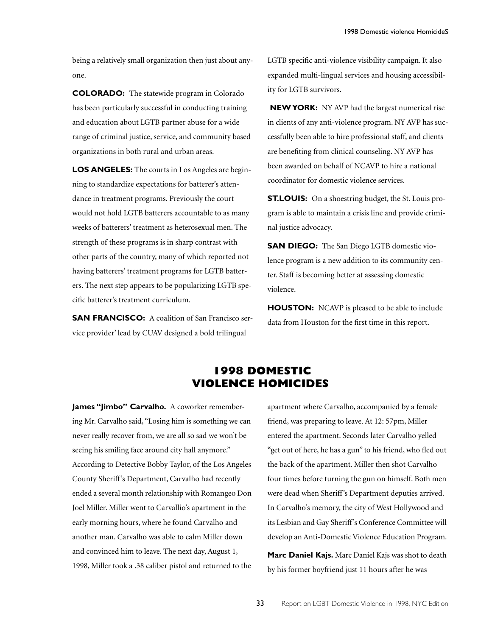being a relatively small organization then just about anyone.

**COLORADO:** The statewide program in Colorado has been particularly successful in conducting training and education about LGTB partner abuse for a wide range of criminal justice, service, and community based organizations in both rural and urban areas.

**LOS ANGELES:** The courts in Los Angeles are beginning to standardize expectations for batterer's attendance in treatment programs. Previously the court would not hold LGTB batterers accountable to as many weeks of batterers' treatment as heterosexual men. The strength of these programs is in sharp contrast with other parts of the country, many of which reported not having batterers' treatment programs for LGTB batterers. The next step appears to be popularizing LGTB specific batterer's treatment curriculum.

**SAN FRANCISCO:** A coalition of San Francisco service provider' lead by CUAV designed a bold trilingual

LGTB specific anti-violence visibility campaign. It also expanded multi-lingual services and housing accessibility for LGTB survivors.

 **NEW YORK:** NY AVP had the largest numerical rise in clients of any anti-violence program. NY AVP has successfully been able to hire professional staff, and clients are benefiting from clinical counseling. NY AVP has been awarded on behalf of NCAVP to hire a national coordinator for domestic violence services.

**ST.LOUIS:** On a shoestring budget, the St. Louis program is able to maintain a crisis line and provide criminal justice advocacy.

**SAN DIEGO:** The San Diego LGTB domestic violence program is a new addition to its community center. Staff is becoming better at assessing domestic violence.

**HOUSTON:** NCAVP is pleased to be able to include data from Houston for the first time in this report.

# **1998 DOMESTIC VIOLENCE HOMICIDES**

**James "Jimbo" Carvalho.** A coworker remembering Mr. Carvalho said, "Losing him is something we can never really recover from, we are all so sad we won't be seeing his smiling face around city hall anymore." According to Detective Bobby Taylor, of the Los Angeles County Sheriff's Department, Carvalho had recently ended a several month relationship with Romangeo Don Joel Miller. Miller went to Carvallio's apartment in the early morning hours, where he found Carvalho and another man. Carvalho was able to calm Miller down and convinced him to leave. The next day, August 1, 1998, Miller took a .38 caliber pistol and returned to the

apartment where Carvalho, accompanied by a female friend, was preparing to leave. At 12: 57pm, Miller entered the apartment. Seconds later Carvalho yelled "get out of here, he has a gun" to his friend, who fled out the back of the apartment. Miller then shot Carvalho four times before turning the gun on himself. Both men were dead when Sheriff's Department deputies arrived. In Carvalho's memory, the city of West Hollywood and its Lesbian and Gay Sheriff's Conference Committee will develop an Anti-Domestic Violence Education Program.

**Marc Daniel Kajs.** Marc Daniel Kajs was shot to death by his former boyfriend just 11 hours after he was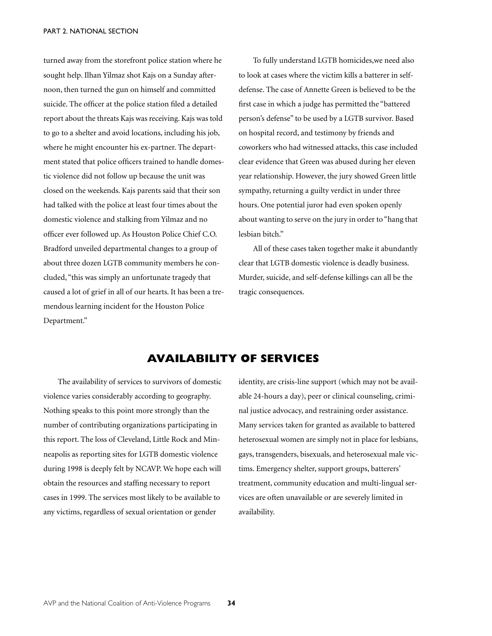#### PART 2. NATIONAL SECTION

turned away from the storefront police station where he sought help. Ilhan Yilmaz shot Kajs on a Sunday afternoon, then turned the gun on himself and committed suicide. The officer at the police station filed a detailed report about the threats Kajs was receiving. Kajs was told to go to a shelter and avoid locations, including his job, where he might encounter his ex-partner. The department stated that police officers trained to handle domestic violence did not follow up because the unit was closed on the weekends. Kajs parents said that their son had talked with the police at least four times about the domestic violence and stalking from Yilmaz and no officer ever followed up. As Houston Police Chief C.O. Bradford unveiled departmental changes to a group of about three dozen LGTB community members he concluded, "this was simply an unfortunate tragedy that caused a lot of grief in all of our hearts. It has been a tremendous learning incident for the Houston Police Department."

To fully understand LGTB homicides,we need also to look at cases where the victim kills a batterer in selfdefense. The case of Annette Green is believed to be the first case in which a judge has permitted the "battered person's defense" to be used by a LGTB survivor. Based on hospital record, and testimony by friends and coworkers who had witnessed attacks, this case included clear evidence that Green was abused during her eleven year relationship. However, the jury showed Green little sympathy, returning a guilty verdict in under three hours. One potential juror had even spoken openly about wanting to serve on the jury in order to "hang that lesbian bitch."

All of these cases taken together make it abundantly clear that LGTB domestic violence is deadly business. Murder, suicide, and self-defense killings can all be the tragic consequences.

# **AVAILABILITY OF SERVICES**

The availability of services to survivors of domestic violence varies considerably according to geography. Nothing speaks to this point more strongly than the number of contributing organizations participating in this report. The loss of Cleveland, Little Rock and Minneapolis as reporting sites for LGTB domestic violence during 1998 is deeply felt by NCAVP. We hope each will obtain the resources and staffing necessary to report cases in 1999. The services most likely to be available to any victims, regardless of sexual orientation or gender

identity, are crisis-line support (which may not be available 24-hours a day), peer or clinical counseling, criminal justice advocacy, and restraining order assistance. Many services taken for granted as available to battered heterosexual women are simply not in place for lesbians, gays, transgenders, bisexuals, and heterosexual male victims. Emergency shelter, support groups, batterers' treatment, community education and multi-lingual services are often unavailable or are severely limited in availability.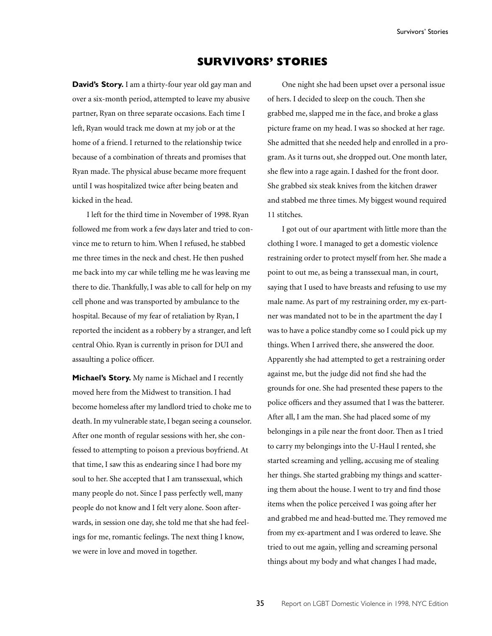## **SURVIVORS' STORIES**

**David's Story.** I am a thirty-four year old gay man and over a six-month period, attempted to leave my abusive partner, Ryan on three separate occasions. Each time I left, Ryan would track me down at my job or at the home of a friend. I returned to the relationship twice because of a combination of threats and promises that Ryan made. The physical abuse became more frequent until I was hospitalized twice after being beaten and kicked in the head.

I left for the third time in November of 1998. Ryan followed me from work a few days later and tried to convince me to return to him. When I refused, he stabbed me three times in the neck and chest. He then pushed me back into my car while telling me he was leaving me there to die. Thankfully, I was able to call for help on my cell phone and was transported by ambulance to the hospital. Because of my fear of retaliation by Ryan, I reported the incident as a robbery by a stranger, and left central Ohio. Ryan is currently in prison for DUI and assaulting a police officer.

**Michael's Story.** My name is Michael and I recently moved here from the Midwest to transition. I had become homeless after my landlord tried to choke me to death. In my vulnerable state, I began seeing a counselor. After one month of regular sessions with her, she confessed to attempting to poison a previous boyfriend. At that time, I saw this as endearing since I had bore my soul to her. She accepted that I am transsexual, which many people do not. Since I pass perfectly well, many people do not know and I felt very alone. Soon afterwards, in session one day, she told me that she had feelings for me, romantic feelings. The next thing I know, we were in love and moved in together.

One night she had been upset over a personal issue of hers. I decided to sleep on the couch. Then she grabbed me, slapped me in the face, and broke a glass picture frame on my head. I was so shocked at her rage. She admitted that she needed help and enrolled in a program. As it turns out, she dropped out. One month later, she flew into a rage again. I dashed for the front door. She grabbed six steak knives from the kitchen drawer and stabbed me three times. My biggest wound required 11 stitches.

I got out of our apartment with little more than the clothing I wore. I managed to get a domestic violence restraining order to protect myself from her. She made a point to out me, as being a transsexual man, in court, saying that I used to have breasts and refusing to use my male name. As part of my restraining order, my ex-partner was mandated not to be in the apartment the day I was to have a police standby come so I could pick up my things. When I arrived there, she answered the door. Apparently she had attempted to get a restraining order against me, but the judge did not find she had the grounds for one. She had presented these papers to the police officers and they assumed that I was the batterer. After all, I am the man. She had placed some of my belongings in a pile near the front door. Then as I tried to carry my belongings into the U-Haul I rented, she started screaming and yelling, accusing me of stealing her things. She started grabbing my things and scattering them about the house. I went to try and find those items when the police perceived I was going after her and grabbed me and head-butted me. They removed me from my ex-apartment and I was ordered to leave. She tried to out me again, yelling and screaming personal things about my body and what changes I had made,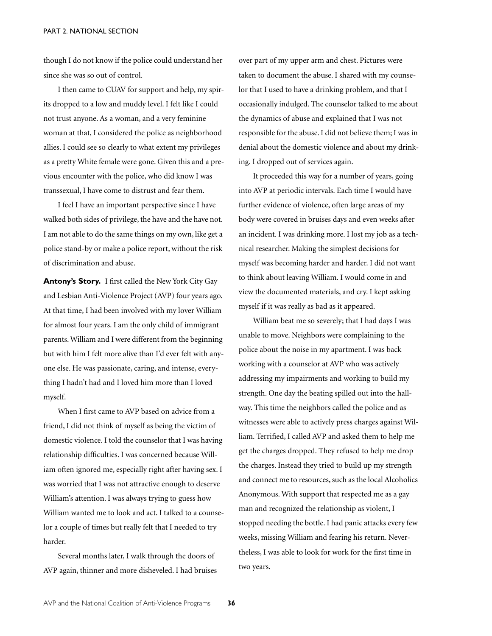#### PART 2. NATIONAL SECTION

though I do not know if the police could understand her since she was so out of control.

I then came to CUAV for support and help, my spirits dropped to a low and muddy level. I felt like I could not trust anyone. As a woman, and a very feminine woman at that, I considered the police as neighborhood allies. I could see so clearly to what extent my privileges as a pretty White female were gone. Given this and a previous encounter with the police, who did know I was transsexual, I have come to distrust and fear them.

I feel I have an important perspective since I have walked both sides of privilege, the have and the have not. I am not able to do the same things on my own, like get a police stand-by or make a police report, without the risk of discrimination and abuse.

**Antony's Story.** I first called the New York City Gay and Lesbian Anti-Violence Project (AVP) four years ago. At that time, I had been involved with my lover William for almost four years. I am the only child of immigrant parents. William and I were different from the beginning but with him I felt more alive than I'd ever felt with anyone else. He was passionate, caring, and intense, everything I hadn't had and I loved him more than I loved myself.

When I first came to AVP based on advice from a friend, I did not think of myself as being the victim of domestic violence. I told the counselor that I was having relationship difficulties. I was concerned because William often ignored me, especially right after having sex. I was worried that I was not attractive enough to deserve William's attention. I was always trying to guess how William wanted me to look and act. I talked to a counselor a couple of times but really felt that I needed to try harder.

Several months later, I walk through the doors of AVP again, thinner and more disheveled. I had bruises over part of my upper arm and chest. Pictures were taken to document the abuse. I shared with my counselor that I used to have a drinking problem, and that I occasionally indulged. The counselor talked to me about the dynamics of abuse and explained that I was not responsible for the abuse. I did not believe them; I was in denial about the domestic violence and about my drinking. I dropped out of services again.

It proceeded this way for a number of years, going into AVP at periodic intervals. Each time I would have further evidence of violence, often large areas of my body were covered in bruises days and even weeks after an incident. I was drinking more. I lost my job as a technical researcher. Making the simplest decisions for myself was becoming harder and harder. I did not want to think about leaving William. I would come in and view the documented materials, and cry. I kept asking myself if it was really as bad as it appeared.

William beat me so severely; that I had days I was unable to move. Neighbors were complaining to the police about the noise in my apartment. I was back working with a counselor at AVP who was actively addressing my impairments and working to build my strength. One day the beating spilled out into the hallway. This time the neighbors called the police and as witnesses were able to actively press charges against William. Terrified, I called AVP and asked them to help me get the charges dropped. They refused to help me drop the charges. Instead they tried to build up my strength and connect me to resources, such as the local Alcoholics Anonymous. With support that respected me as a gay man and recognized the relationship as violent, I stopped needing the bottle. I had panic attacks every few weeks, missing William and fearing his return. Nevertheless, I was able to look for work for the first time in two years.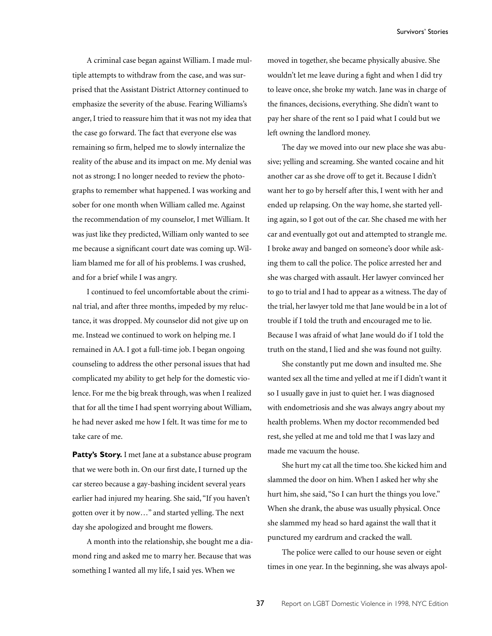A criminal case began against William. I made multiple attempts to withdraw from the case, and was surprised that the Assistant District Attorney continued to emphasize the severity of the abuse. Fearing Williams's anger, I tried to reassure him that it was not my idea that the case go forward. The fact that everyone else was remaining so firm, helped me to slowly internalize the reality of the abuse and its impact on me. My denial was not as strong; I no longer needed to review the photographs to remember what happened. I was working and sober for one month when William called me. Against the recommendation of my counselor, I met William. It was just like they predicted, William only wanted to see me because a significant court date was coming up. William blamed me for all of his problems. I was crushed, and for a brief while I was angry.

I continued to feel uncomfortable about the criminal trial, and after three months, impeded by my reluctance, it was dropped. My counselor did not give up on me. Instead we continued to work on helping me. I remained in AA. I got a full-time job. I began ongoing counseling to address the other personal issues that had complicated my ability to get help for the domestic violence. For me the big break through, was when I realized that for all the time I had spent worrying about William, he had never asked me how I felt. It was time for me to take care of me.

Patty's Story. I met Jane at a substance abuse program that we were both in. On our first date, I turned up the car stereo because a gay-bashing incident several years earlier had injured my hearing. She said, "If you haven't gotten over it by now…" and started yelling. The next day she apologized and brought me flowers.

A month into the relationship, she bought me a diamond ring and asked me to marry her. Because that was something I wanted all my life, I said yes. When we

moved in together, she became physically abusive. She wouldn't let me leave during a fight and when I did try to leave once, she broke my watch. Jane was in charge of the finances, decisions, everything. She didn't want to pay her share of the rent so I paid what I could but we left owning the landlord money.

The day we moved into our new place she was abusive; yelling and screaming. She wanted cocaine and hit another car as she drove off to get it. Because I didn't want her to go by herself after this, I went with her and ended up relapsing. On the way home, she started yelling again, so I got out of the car. She chased me with her car and eventually got out and attempted to strangle me. I broke away and banged on someone's door while asking them to call the police. The police arrested her and she was charged with assault. Her lawyer convinced her to go to trial and I had to appear as a witness. The day of the trial, her lawyer told me that Jane would be in a lot of trouble if I told the truth and encouraged me to lie. Because I was afraid of what Jane would do if I told the truth on the stand, I lied and she was found not guilty.

She constantly put me down and insulted me. She wanted sex all the time and yelled at me if I didn't want it so I usually gave in just to quiet her. I was diagnosed with endometriosis and she was always angry about my health problems. When my doctor recommended bed rest, she yelled at me and told me that I was lazy and made me vacuum the house.

She hurt my cat all the time too. She kicked him and slammed the door on him. When I asked her why she hurt him, she said, "So I can hurt the things you love." When she drank, the abuse was usually physical. Once she slammed my head so hard against the wall that it punctured my eardrum and cracked the wall.

The police were called to our house seven or eight times in one year. In the beginning, she was always apol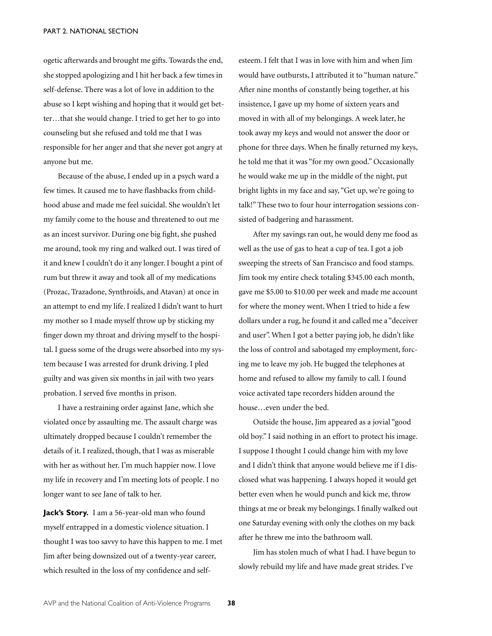ogetic afterwards and brought me gifts. Towards the end, she stopped apologizing and I hit her back a few times in self-defense. There was a lot of love in addition to the abuse so I kept wishing and hoping that it would get better…that she would change. I tried to get her to go into counseling but she refused and told me that I was responsible for her anger and that she never got angry at anyone but me.

Because of the abuse, I ended up in a psych ward a few times. It caused me to have flashbacks from childhood abuse and made me feel suicidal. She wouldn't let my family come to the house and threatened to out me as an incest survivor. During one big fight, she pushed me around, took my ring and walked out. I was tired of it and knew I couldn't do it any longer. I bought a pint of rum but threw it away and took all of my medications (Prozac, Trazadone, Synthroids, and Atavan) at once in an attempt to end my life. I realized I didn't want to hurt my mother so I made myself throw up by sticking my finger down my throat and driving myself to the hospital. I guess some of the drugs were absorbed into my system because I was arrested for drunk driving. I pled guilty and was given six months in jail with two years probation. I served five months in prison.

I have a restraining order against Jane, which she violated once by assaulting me. The assault charge was ultimately dropped because I couldn't remember the details of it. I realized, though, that I was as miserable with her as without her. I'm much happier now. I love my life in recovery and I'm meeting lots of people. I no longer want to see Jane of talk to her.

**Jack's Story.** I am a 56-year-old man who found myself entrapped in a domestic violence situation. I thought I was too savvy to have this happen to me. I met Jim after being downsized out of a twenty-year career, which resulted in the loss of my confidence and selfesteem. I felt that I was in love with him and when Jim would have outbursts, I attributed it to "human nature." After nine months of constantly being together, at his insistence, I gave up my home of sixteen years and moved in with all of my belongings. A week later, he took away my keys and would not answer the door or phone for three days. When he finally returned my keys, he told me that it was "for my own good." Occasionally he would wake me up in the middle of the night, put bright lights in my face and say, "Get up, we're going to talk!" These two to four hour interrogation sessions consisted of badgering and harassment.

After my savings ran out, he would deny me food as well as the use of gas to heat a cup of tea. I got a job sweeping the streets of San Francisco and food stamps. Jim took my entire check totaling \$345.00 each month, gave me \$5.00 to \$10.00 per week and made me account for where the money went. When I tried to hide a few dollars under a rug, he found it and called me a "deceiver and user". When I got a better paying job, he didn't like the loss of control and sabotaged my employment, forcing me to leave my job. He bugged the telephones at home and refused to allow my family to call. I found voice activated tape recorders hidden around the house…even under the bed.

Outside the house, Jim appeared as a jovial "good old boy." I said nothing in an effort to protect his image. I suppose I thought I could change him with my love and I didn't think that anyone would believe me if I disclosed what was happening. I always hoped it would get better even when he would punch and kick me, throw things at me or break my belongings. I finally walked out one Saturday evening with only the clothes on my back after he threw me into the bathroom wall.

Jim has stolen much of what I had. I have begun to slowly rebuild my life and have made great strides. I've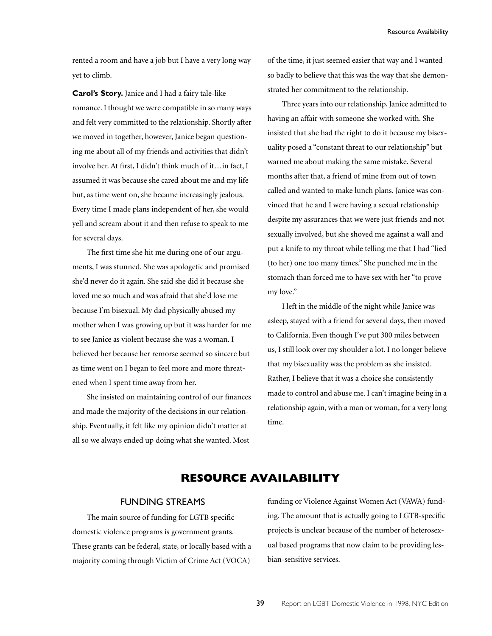rented a room and have a job but I have a very long way yet to climb.

**Carol's Story.** Janice and I had a fairy tale-like romance. I thought we were compatible in so many ways and felt very committed to the relationship. Shortly after we moved in together, however, Janice began questioning me about all of my friends and activities that didn't involve her. At first, I didn't think much of it…in fact, I assumed it was because she cared about me and my life but, as time went on, she became increasingly jealous. Every time I made plans independent of her, she would yell and scream about it and then refuse to speak to me for several days.

The first time she hit me during one of our arguments, I was stunned. She was apologetic and promised she'd never do it again. She said she did it because she loved me so much and was afraid that she'd lose me because I'm bisexual. My dad physically abused my mother when I was growing up but it was harder for me to see Janice as violent because she was a woman. I believed her because her remorse seemed so sincere but as time went on I began to feel more and more threatened when I spent time away from her.

She insisted on maintaining control of our finances and made the majority of the decisions in our relationship. Eventually, it felt like my opinion didn't matter at all so we always ended up doing what she wanted. Most

of the time, it just seemed easier that way and I wanted so badly to believe that this was the way that she demonstrated her commitment to the relationship.

Three years into our relationship, Janice admitted to having an affair with someone she worked with. She insisted that she had the right to do it because my bisexuality posed a "constant threat to our relationship" but warned me about making the same mistake. Several months after that, a friend of mine from out of town called and wanted to make lunch plans. Janice was convinced that he and I were having a sexual relationship despite my assurances that we were just friends and not sexually involved, but she shoved me against a wall and put a knife to my throat while telling me that I had "lied (to her) one too many times." She punched me in the stomach than forced me to have sex with her "to prove my love."

I left in the middle of the night while Janice was asleep, stayed with a friend for several days, then moved to California. Even though I've put 300 miles between us, I still look over my shoulder a lot. I no longer believe that my bisexuality was the problem as she insisted. Rather, I believe that it was a choice she consistently made to control and abuse me. I can't imagine being in a relationship again, with a man or woman, for a very long time.

# **RESOURCE AVAILABILITY**

## FUNDING STREAMS

The main source of funding for LGTB specific domestic violence programs is government grants. These grants can be federal, state, or locally based with a majority coming through Victim of Crime Act (VOCA) funding or Violence Against Women Act (VAWA) funding. The amount that is actually going to LGTB-specific projects is unclear because of the number of heterosexual based programs that now claim to be providing lesbian-sensitive services.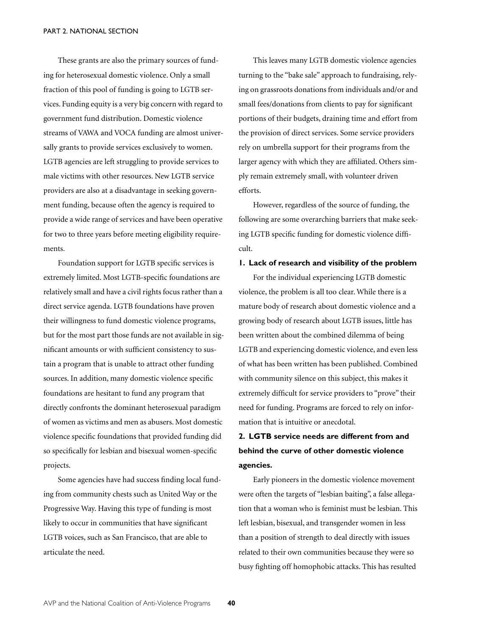These grants are also the primary sources of funding for heterosexual domestic violence. Only a small fraction of this pool of funding is going to LGTB services. Funding equity is a very big concern with regard to government fund distribution. Domestic violence streams of VAWA and VOCA funding are almost universally grants to provide services exclusively to women. LGTB agencies are left struggling to provide services to male victims with other resources. New LGTB service providers are also at a disadvantage in seeking government funding, because often the agency is required to provide a wide range of services and have been operative for two to three years before meeting eligibility requirements.

Foundation support for LGTB specific services is extremely limited. Most LGTB-specific foundations are relatively small and have a civil rights focus rather than a direct service agenda. LGTB foundations have proven their willingness to fund domestic violence programs, but for the most part those funds are not available in significant amounts or with sufficient consistency to sustain a program that is unable to attract other funding sources. In addition, many domestic violence specific foundations are hesitant to fund any program that directly confronts the dominant heterosexual paradigm of women as victims and men as abusers. Most domestic violence specific foundations that provided funding did so specifically for lesbian and bisexual women-specific projects.

Some agencies have had success finding local funding from community chests such as United Way or the Progressive Way. Having this type of funding is most likely to occur in communities that have significant LGTB voices, such as San Francisco, that are able to articulate the need.

This leaves many LGTB domestic violence agencies turning to the "bake sale" approach to fundraising, relying on grassroots donations from individuals and/or and small fees/donations from clients to pay for significant portions of their budgets, draining time and effort from the provision of direct services. Some service providers rely on umbrella support for their programs from the larger agency with which they are affiliated. Others simply remain extremely small, with volunteer driven efforts.

However, regardless of the source of funding, the following are some overarching barriers that make seeking LGTB specific funding for domestic violence difficult.

#### **1. Lack of research and visibility of the problem**

For the individual experiencing LGTB domestic violence, the problem is all too clear. While there is a mature body of research about domestic violence and a growing body of research about LGTB issues, little has been written about the combined dilemma of being LGTB and experiencing domestic violence, and even less of what has been written has been published. Combined with community silence on this subject, this makes it extremely difficult for service providers to "prove" their need for funding. Programs are forced to rely on information that is intuitive or anecdotal.

# **2. LGTB service needs are different from and behind the curve of other domestic violence agencies.**

Early pioneers in the domestic violence movement were often the targets of "lesbian baiting", a false allegation that a woman who is feminist must be lesbian. This left lesbian, bisexual, and transgender women in less than a position of strength to deal directly with issues related to their own communities because they were so busy fighting off homophobic attacks. This has resulted